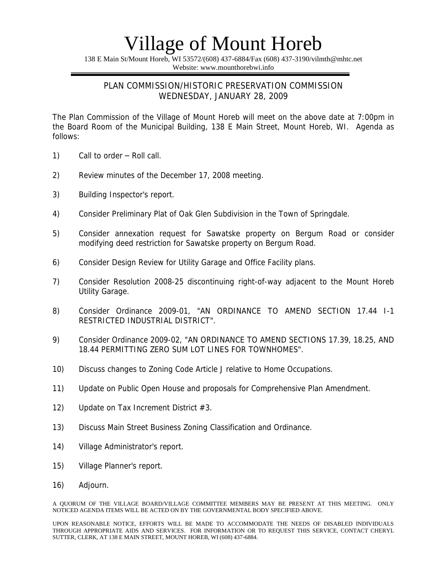138 E Main St/Mount Horeb, WI 53572/(608) 437-6884/Fax (608) 437-3190/vilmth@mhtc.net Website: www.mounthorebwi.info

#### PLAN COMMISSION/HISTORIC PRESERVATION COMMISSION WEDNESDAY, JANUARY 28, 2009

The Plan Commission of the Village of Mount Horeb will meet on the above date at 7:00pm in the Board Room of the Municipal Building, 138 E Main Street, Mount Horeb, WI. Agenda as follows:

- 1) Call to order Roll call.
- 2) Review minutes of the December 17, 2008 meeting.
- 3) Building Inspector's report.
- 4) Consider Preliminary Plat of Oak Glen Subdivision in the Town of Springdale.
- 5) Consider annexation request for Sawatske property on Bergum Road or consider modifying deed restriction for Sawatske property on Bergum Road.
- 6) Consider Design Review for Utility Garage and Office Facility plans.
- 7) Consider Resolution 2008-25 discontinuing right-of-way adjacent to the Mount Horeb Utility Garage.
- 8) Consider Ordinance 2009-01, "AN ORDINANCE TO AMEND SECTION 17.44 I-1 RESTRICTED INDUSTRIAL DISTRICT".
- 9) Consider Ordinance 2009-02, "AN ORDINANCE TO AMEND SECTIONS 17.39, 18.25, AND 18.44 PERMITTING ZERO SUM LOT LINES FOR TOWNHOMES".
- 10) Discuss changes to Zoning Code Article J relative to Home Occupations.
- 11) Update on Public Open House and proposals for Comprehensive Plan Amendment.
- 12) Update on Tax Increment District #3.
- 13) Discuss Main Street Business Zoning Classification and Ordinance.
- 14) Village Administrator's report.
- 15) Village Planner's report.
- 16) Adjourn.

A QUORUM OF THE VILLAGE BOARD/VILLAGE COMMITTEE MEMBERS MAY BE PRESENT AT THIS MEETING. ONLY NOTICED AGENDA ITEMS WILL BE ACTED ON BY THE GOVERNMENTAL BODY SPECIFIED ABOVE.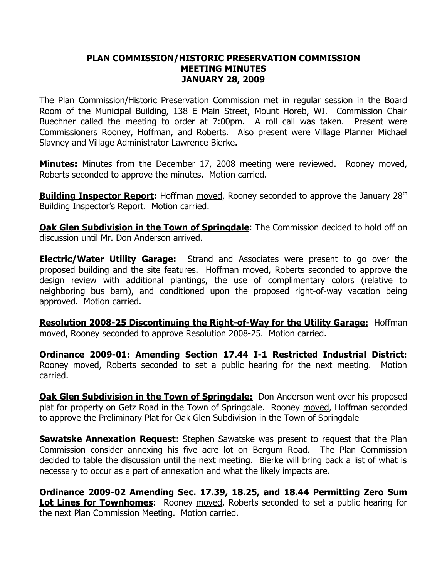### **PLAN COMMISSION/HISTORIC PRESERVATION COMMISSION MEETING MINUTES JANUARY 28, 2009**

The Plan Commission/Historic Preservation Commission met in regular session in the Board Room of the Municipal Building, 138 E Main Street, Mount Horeb, WI. Commission Chair Buechner called the meeting to order at 7:00pm. A roll call was taken. Present were Commissioners Rooney, Hoffman, and Roberts. Also present were Village Planner Michael Slavney and Village Administrator Lawrence Bierke.

**Minutes:** Minutes from the December 17, 2008 meeting were reviewed. Rooney moved, Roberts seconded to approve the minutes. Motion carried.

**Building Inspector Report:** Hoffman moved, Rooney seconded to approve the January 28<sup>th</sup> Building Inspector's Report. Motion carried.

**Oak Glen Subdivision in the Town of Springdale**: The Commission decided to hold off on discussion until Mr. Don Anderson arrived.

**Electric/Water Utility Garage:** Strand and Associates were present to go over the proposed building and the site features. Hoffman moved, Roberts seconded to approve the design review with additional plantings, the use of complimentary colors (relative to neighboring bus barn), and conditioned upon the proposed right-of-way vacation being approved. Motion carried.

**Resolution 2008-25 Discontinuing the Right-of-Way for the Utility Garage:** Hoffman moved, Rooney seconded to approve Resolution 2008-25. Motion carried.

**Ordinance 2009-01: Amending Section 17.44 I-1 Restricted Industrial District:** Rooney moved, Roberts seconded to set a public hearing for the next meeting. Motion carried.

**Oak Glen Subdivision in the Town of Springdale:** Don Anderson went over his proposed plat for property on Getz Road in the Town of Springdale. Rooney moved, Hoffman seconded to approve the Preliminary Plat for Oak Glen Subdivision in the Town of Springdale

**Sawatske Annexation Request**: Stephen Sawatske was present to request that the Plan Commission consider annexing his five acre lot on Bergum Road. The Plan Commission decided to table the discussion until the next meeting. Bierke will bring back a list of what is necessary to occur as a part of annexation and what the likely impacts are.

**Ordinance 2009-02 Amending Sec. 17.39, 18.25, and 18.44 Permitting Zero Sum Lot Lines for Townhomes**: Rooney moved, Roberts seconded to set a public hearing for the next Plan Commission Meeting. Motion carried.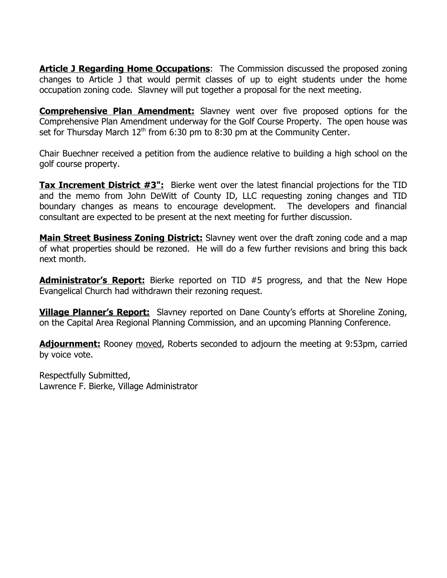**Article J Regarding Home Occupations:** The Commission discussed the proposed zoning changes to Article J that would permit classes of up to eight students under the home occupation zoning code. Slavney will put together a proposal for the next meeting.

**Comprehensive Plan Amendment:** Slavney went over five proposed options for the Comprehensive Plan Amendment underway for the Golf Course Property. The open house was set for Thursday March  $12<sup>th</sup>$  from 6:30 pm to 8:30 pm at the Community Center.

Chair Buechner received a petition from the audience relative to building a high school on the golf course property.

**Tax Increment District #3":** Bierke went over the latest financial projections for the TID and the memo from John DeWitt of County ID, LLC requesting zoning changes and TID boundary changes as means to encourage development. The developers and financial consultant are expected to be present at the next meeting for further discussion.

**Main Street Business Zoning District:** Slavney went over the draft zoning code and a map of what properties should be rezoned. He will do a few further revisions and bring this back next month.

**Administrator's Report:** Bierke reported on TID #5 progress, and that the New Hope Evangelical Church had withdrawn their rezoning request.

**Village Planner's Report:** Slavney reported on Dane County's efforts at Shoreline Zoning, on the Capital Area Regional Planning Commission, and an upcoming Planning Conference.

**Adjournment:** Rooney moved, Roberts seconded to adjourn the meeting at 9:53pm, carried by voice vote.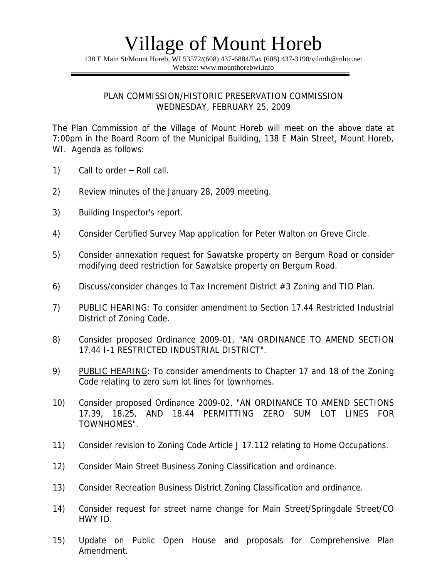138 E Main St/Mount Horeb, WI 53572/(608) 437-6884/Fax (608) 437-3190/vilmth@mhtc.net Website: www.mounthorebwi.info

PLAN COMMISSION/HISTORIC PRESERVATION COMMISSION WEDNESDAY, FEBRUARY 25, 2009

The Plan Commission of the Village of Mount Horeb will meet on the above date at 7:00pm in the Board Room of the Municipal Building, 138 E Main Street, Mount Horeb, WI. Agenda as follows:

- 1) Call to order Roll call.
- 2) Review minutes of the January 28, 2009 meeting.
- 3) Building Inspector's report.
- 4) Consider Certified Survey Map application for Peter Walton on Greve Circle.
- 5) Consider annexation request for Sawatske property on Bergum Road or consider modifying deed restriction for Sawatske property on Bergum Road.
- 6) Discuss/consider changes to Tax Increment District #3 Zoning and TID Plan.
- 7) PUBLIC HEARING: To consider amendment to Section 17.44 Restricted Industrial District of Zoning Code.
- 8) Consider proposed Ordinance 2009-01, "AN ORDINANCE TO AMEND SECTION 17.44 I-1 RESTRICTED INDUSTRIAL DISTRICT".
- 9) PUBLIC HEARING: To consider amendments to Chapter 17 and 18 of the Zoning Code relating to zero sum lot lines for townhomes.
- 10) Consider proposed Ordinance 2009-02, "AN ORDINANCE TO AMEND SECTIONS 17.39, 18.25, AND 18.44 PERMITTING ZERO SUM LOT LINES FOR TOWNHOMES".
- 11) Consider revision to Zoning Code Article J 17.112 relating to Home Occupations.
- 12) Consider Main Street Business Zoning Classification and ordinance.
- 13) Consider Recreation Business District Zoning Classification and ordinance.
- 14) Consider request for street name change for Main Street/Springdale Street/CO HWY ID.
- 15) Update on Public Open House and proposals for Comprehensive Plan Amendment.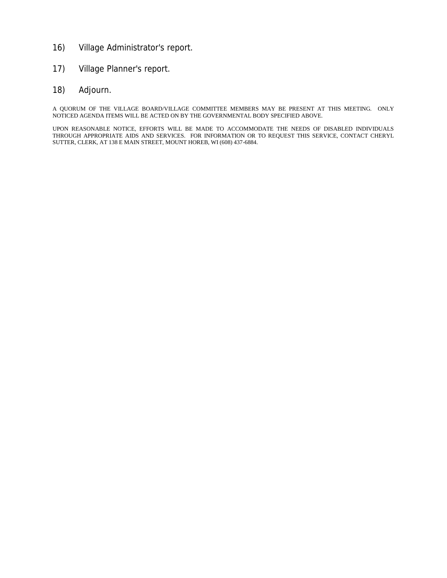- 16) Village Administrator's report.
- 17) Village Planner's report.
- 18) Adjourn.

A QUORUM OF THE VILLAGE BOARD/VILLAGE COMMITTEE MEMBERS MAY BE PRESENT AT THIS MEETING. ONLY NOTICED AGENDA ITEMS WILL BE ACTED ON BY THE GOVERNMENTAL BODY SPECIFIED ABOVE.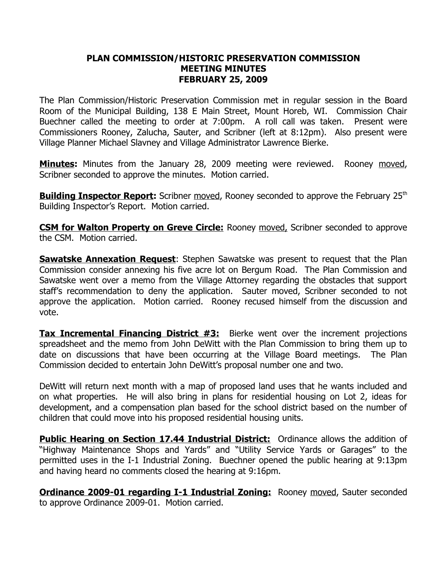### **PLAN COMMISSION/HISTORIC PRESERVATION COMMISSION MEETING MINUTES FEBRUARY 25, 2009**

The Plan Commission/Historic Preservation Commission met in regular session in the Board Room of the Municipal Building, 138 E Main Street, Mount Horeb, WI. Commission Chair Buechner called the meeting to order at 7:00pm. A roll call was taken. Present were Commissioners Rooney, Zalucha, Sauter, and Scribner (left at 8:12pm). Also present were Village Planner Michael Slavney and Village Administrator Lawrence Bierke.

**Minutes:** Minutes from the January 28, 2009 meeting were reviewed. Rooney moved, Scribner seconded to approve the minutes. Motion carried.

**Building Inspector Report:** Scribner moved, Rooney seconded to approve the February 25<sup>th</sup> Building Inspector's Report. Motion carried.

**CSM for Walton Property on Greve Circle:** Rooney moved, Scribner seconded to approve the CSM. Motion carried.

**Sawatske Annexation Request**: Stephen Sawatske was present to request that the Plan Commission consider annexing his five acre lot on Bergum Road. The Plan Commission and Sawatske went over a memo from the Village Attorney regarding the obstacles that support staff's recommendation to deny the application. Sauter moved, Scribner seconded to not approve the application. Motion carried. Rooney recused himself from the discussion and vote.

**Tax Incremental Financing District #3:** Bierke went over the increment projections spreadsheet and the memo from John DeWitt with the Plan Commission to bring them up to date on discussions that have been occurring at the Village Board meetings. The Plan Commission decided to entertain John DeWitt's proposal number one and two.

DeWitt will return next month with a map of proposed land uses that he wants included and on what properties. He will also bring in plans for residential housing on Lot 2, ideas for development, and a compensation plan based for the school district based on the number of children that could move into his proposed residential housing units.

**Public Hearing on Section 17.44 Industrial District:** Ordinance allows the addition of "Highway Maintenance Shops and Yards" and "Utility Service Yards or Garages" to the permitted uses in the I-1 Industrial Zoning. Buechner opened the public hearing at 9:13pm and having heard no comments closed the hearing at 9:16pm.

**Ordinance 2009-01 regarding I-1 Industrial Zoning:** Rooney moved, Sauter seconded to approve Ordinance 2009-01. Motion carried.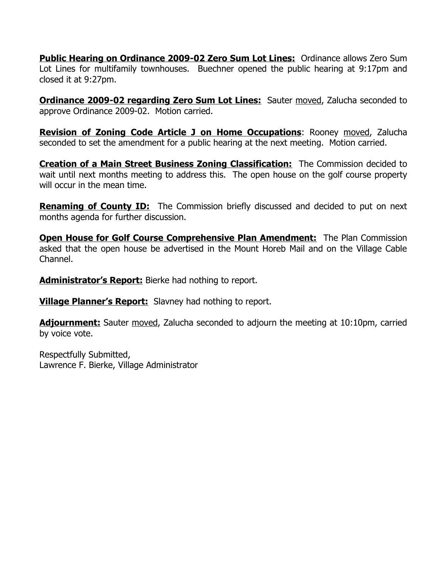**Public Hearing on Ordinance 2009-02 Zero Sum Lot Lines:** Ordinance allows Zero Sum Lot Lines for multifamily townhouses. Buechner opened the public hearing at 9:17pm and closed it at 9:27pm.

**Ordinance 2009-02 regarding Zero Sum Lot Lines:** Sauter moved, Zalucha seconded to approve Ordinance 2009-02. Motion carried.

**Revision of Zoning Code Article J on Home Occupations**: Rooney moved, Zalucha seconded to set the amendment for a public hearing at the next meeting. Motion carried.

**Creation of a Main Street Business Zoning Classification:** The Commission decided to wait until next months meeting to address this. The open house on the golf course property will occur in the mean time.

**Renaming of County ID:** The Commission briefly discussed and decided to put on next months agenda for further discussion.

**Open House for Golf Course Comprehensive Plan Amendment:** The Plan Commission asked that the open house be advertised in the Mount Horeb Mail and on the Village Cable Channel.

**Administrator's Report:** Bierke had nothing to report.

**Village Planner's Report:** Slavney had nothing to report.

**Adjournment:** Sauter moved, Zalucha seconded to adjourn the meeting at 10:10pm, carried by voice vote.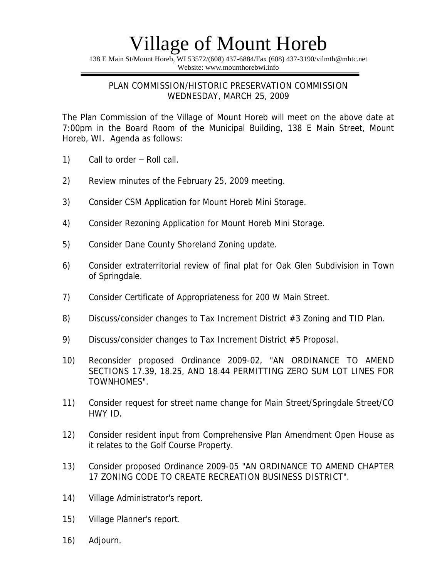138 E Main St/Mount Horeb, WI 53572/(608) 437-6884/Fax (608) 437-3190/vilmth@mhtc.net Website: www.mounthorebwi.info

### PLAN COMMISSION/HISTORIC PRESERVATION COMMISSION WEDNESDAY, MARCH 25, 2009

The Plan Commission of the Village of Mount Horeb will meet on the above date at 7:00pm in the Board Room of the Municipal Building, 138 E Main Street, Mount Horeb, WI. Agenda as follows:

- 1) Call to order Roll call.
- 2) Review minutes of the February 25, 2009 meeting.
- 3) Consider CSM Application for Mount Horeb Mini Storage.
- 4) Consider Rezoning Application for Mount Horeb Mini Storage.
- 5) Consider Dane County Shoreland Zoning update.
- 6) Consider extraterritorial review of final plat for Oak Glen Subdivision in Town of Springdale.
- 7) Consider Certificate of Appropriateness for 200 W Main Street.
- 8) Discuss/consider changes to Tax Increment District #3 Zoning and TID Plan.
- 9) Discuss/consider changes to Tax Increment District #5 Proposal.
- 10) Reconsider proposed Ordinance 2009-02, "AN ORDINANCE TO AMEND SECTIONS 17.39, 18.25, AND 18.44 PERMITTING ZERO SUM LOT LINES FOR TOWNHOMES".
- 11) Consider request for street name change for Main Street/Springdale Street/CO HWY ID.
- 12) Consider resident input from Comprehensive Plan Amendment Open House as it relates to the Golf Course Property.
- 13) Consider proposed Ordinance 2009-05 "AN ORDINANCE TO AMEND CHAPTER 17 ZONING CODE TO CREATE RECREATION BUSINESS DISTRICT".
- 14) Village Administrator's report.
- 15) Village Planner's report.
- 16) Adjourn.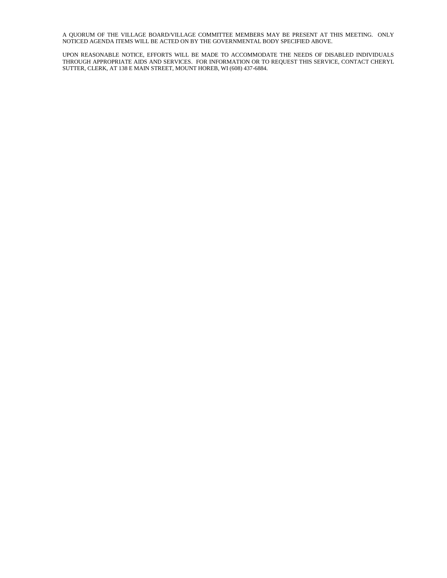A QUORUM OF THE VILLAGE BOARD/VILLAGE COMMITTEE MEMBERS MAY BE PRESENT AT THIS MEETING. ONLY NOTICED AGENDA ITEMS WILL BE ACTED ON BY THE GOVERNMENTAL BODY SPECIFIED ABOVE.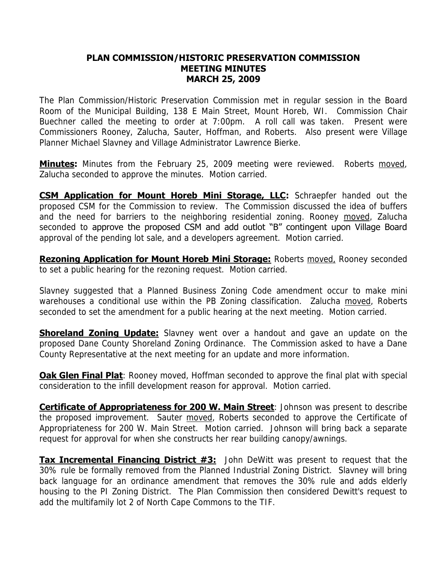#### **PLAN COMMISSION/HISTORIC PRESERVATION COMMISSION MEETING MINUTES MARCH 25, 2009**

The Plan Commission/Historic Preservation Commission met in regular session in the Board Room of the Municipal Building, 138 E Main Street, Mount Horeb, WI. Commission Chair Buechner called the meeting to order at 7:00pm. A roll call was taken. Present were Commissioners Rooney, Zalucha, Sauter, Hoffman, and Roberts. Also present were Village Planner Michael Slavney and Village Administrator Lawrence Bierke.

**Minutes:** Minutes from the February 25, 2009 meeting were reviewed. Roberts moved, Zalucha seconded to approve the minutes. Motion carried.

**CSM Application for Mount Horeb Mini Storage, LLC:** Schraepfer handed out the proposed CSM for the Commission to review. The Commission discussed the idea of buffers and the need for barriers to the neighboring residential zoning. Rooney moved, Zalucha seconded to approve the proposed CSM and add outlot "B" contingent upon Village Board approval of the pending lot sale, and a developers agreement. Motion carried.

**Rezoning Application for Mount Horeb Mini Storage:** Roberts moved, Rooney seconded to set a public hearing for the rezoning request. Motion carried.

Slavney suggested that a Planned Business Zoning Code amendment occur to make mini warehouses a conditional use within the PB Zoning classification. Zalucha moved, Roberts seconded to set the amendment for a public hearing at the next meeting. Motion carried.

**Shoreland Zoning Update:** Slavney went over a handout and gave an update on the proposed Dane County Shoreland Zoning Ordinance. The Commission asked to have a Dane County Representative at the next meeting for an update and more information.

**Oak Glen Final Plat**: Rooney moved, Hoffman seconded to approve the final plat with special consideration to the infill development reason for approval. Motion carried.

**Certificate of Appropriateness for 200 W. Main Street**: Johnson was present to describe the proposed improvement. Sauter moved, Roberts seconded to approve the Certificate of Appropriateness for 200 W. Main Street. Motion carried. Johnson will bring back a separate request for approval for when she constructs her rear building canopy/awnings.

**Tax Incremental Financing District #3:** John DeWitt was present to request that the 30% rule be formally removed from the Planned Industrial Zoning District. Slavney will bring back language for an ordinance amendment that removes the 30% rule and adds elderly housing to the PI Zoning District. The Plan Commission then considered Dewitt's request to add the multifamily lot 2 of North Cape Commons to the TIF.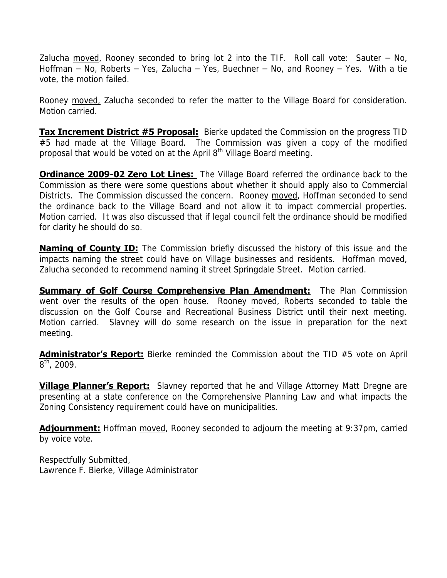Zalucha moved, Rooney seconded to bring lot 2 into the TIF. Roll call vote: Sauter  $-$  No, Hoffman – No, Roberts – Yes, Zalucha – Yes, Buechner – No, and Rooney – Yes. With a tie vote, the motion failed.

Rooney moved, Zalucha seconded to refer the matter to the Village Board for consideration. Motion carried.

**Tax Increment District #5 Proposal:** Bierke updated the Commission on the progress TID #5 had made at the Village Board. The Commission was given a copy of the modified proposal that would be voted on at the April 8<sup>th</sup> Village Board meeting.

**Ordinance 2009-02 Zero Lot Lines:** The Village Board referred the ordinance back to the Commission as there were some questions about whether it should apply also to Commercial Districts. The Commission discussed the concern. Rooney moved, Hoffman seconded to send the ordinance back to the Village Board and not allow it to impact commercial properties. Motion carried. It was also discussed that if legal council felt the ordinance should be modified for clarity he should do so.

**Naming of County ID:** The Commission briefly discussed the history of this issue and the impacts naming the street could have on Village businesses and residents. Hoffman moved, Zalucha seconded to recommend naming it street Springdale Street. Motion carried.

**Summary of Golf Course Comprehensive Plan Amendment:** The Plan Commission went over the results of the open house. Rooney moved, Roberts seconded to table the discussion on the Golf Course and Recreational Business District until their next meeting. Motion carried. Slavney will do some research on the issue in preparation for the next meeting.

**Administrator's Report:** Bierke reminded the Commission about the TID #5 vote on April  $8^{\text{th}}$ , 2009.

**Village Planner's Report:** Slavney reported that he and Village Attorney Matt Dregne are presenting at a state conference on the Comprehensive Planning Law and what impacts the Zoning Consistency requirement could have on municipalities.

**Adjournment:** Hoffman moved, Rooney seconded to adjourn the meeting at 9:37pm, carried by voice vote.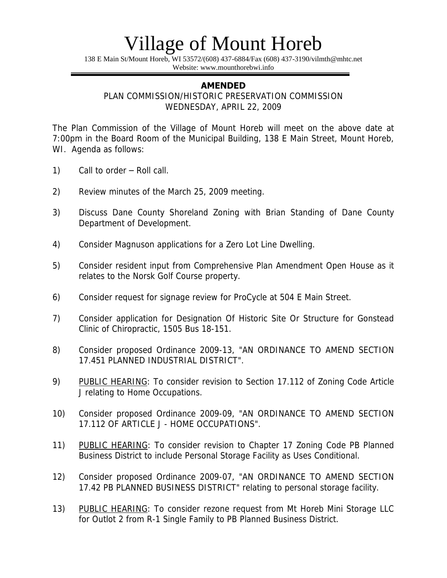138 E Main St/Mount Horeb, WI 53572/(608) 437-6884/Fax (608) 437-3190/vilmth@mhtc.net Website: www.mounthorebwi.info

#### **AMENDED**

PLAN COMMISSION/HISTORIC PRESERVATION COMMISSION WEDNESDAY, APRIL 22, 2009

The Plan Commission of the Village of Mount Horeb will meet on the above date at 7:00pm in the Board Room of the Municipal Building, 138 E Main Street, Mount Horeb, WI. Agenda as follows:

- 1) Call to order Roll call.
- 2) Review minutes of the March 25, 2009 meeting.
- 3) Discuss Dane County Shoreland Zoning with Brian Standing of Dane County Department of Development.
- 4) Consider Magnuson applications for a Zero Lot Line Dwelling.
- 5) Consider resident input from Comprehensive Plan Amendment Open House as it relates to the Norsk Golf Course property.
- 6) Consider request for signage review for ProCycle at 504 E Main Street.
- 7) Consider application for Designation Of Historic Site Or Structure for Gonstead Clinic of Chiropractic, 1505 Bus 18-151.
- 8) Consider proposed Ordinance 2009-13, "AN ORDINANCE TO AMEND SECTION 17.451 PLANNED INDUSTRIAL DISTRICT".
- 9) PUBLIC HEARING: To consider revision to Section 17.112 of Zoning Code Article J relating to Home Occupations.
- 10) Consider proposed Ordinance 2009-09, "AN ORDINANCE TO AMEND SECTION 17.112 OF ARTICLE J - HOME OCCUPATIONS".
- 11) PUBLIC HEARING: To consider revision to Chapter 17 Zoning Code PB Planned Business District to include Personal Storage Facility as Uses Conditional.
- 12) Consider proposed Ordinance 2009-07, "AN ORDINANCE TO AMEND SECTION 17.42 PB PLANNED BUSINESS DISTRICT" relating to personal storage facility.
- 13) PUBLIC HEARING: To consider rezone request from Mt Horeb Mini Storage LLC for Outlot 2 from R-1 Single Family to PB Planned Business District.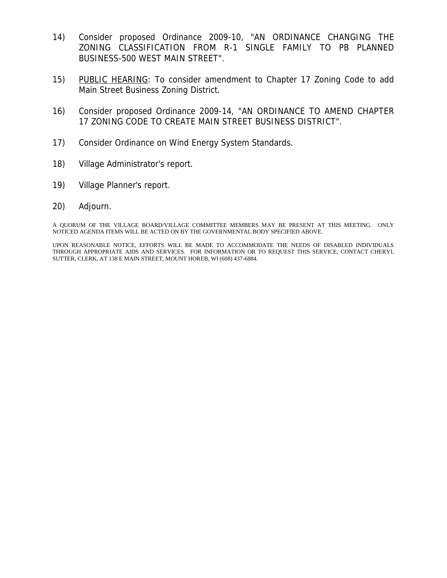- 14) Consider proposed Ordinance 2009-10, "AN ORDINANCE CHANGING THE ZONING CLASSIFICATION FROM R-1 SINGLE FAMILY TO PB PLANNED BUSINESS-500 WEST MAIN STREET".
- 15) PUBLIC HEARING: To consider amendment to Chapter 17 Zoning Code to add Main Street Business Zoning District.
- 16) Consider proposed Ordinance 2009-14, "AN ORDINANCE TO AMEND CHAPTER 17 ZONING CODE TO CREATE MAIN STREET BUSINESS DISTRICT".
- 17) Consider Ordinance on Wind Energy System Standards.
- 18) Village Administrator's report.
- 19) Village Planner's report.
- 20) Adjourn.

A QUORUM OF THE VILLAGE BOARD/VILLAGE COMMITTEE MEMBERS MAY BE PRESENT AT THIS MEETING. ONLY NOTICED AGENDA ITEMS WILL BE ACTED ON BY THE GOVERNMENTAL BODY SPECIFIED ABOVE.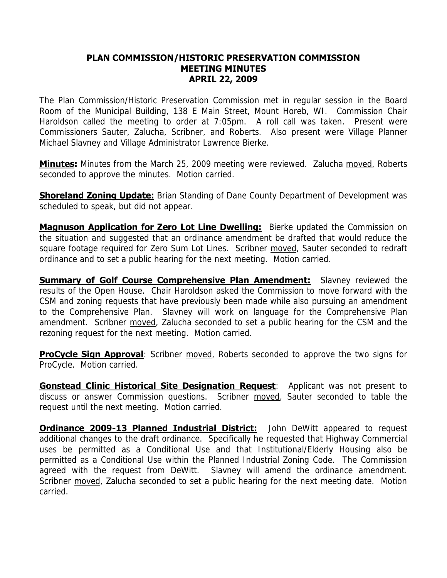#### **PLAN COMMISSION/HISTORIC PRESERVATION COMMISSION MEETING MINUTES APRIL 22, 2009**

The Plan Commission/Historic Preservation Commission met in regular session in the Board Room of the Municipal Building, 138 E Main Street, Mount Horeb, WI. Commission Chair Haroldson called the meeting to order at 7:05pm. A roll call was taken. Present were Commissioners Sauter, Zalucha, Scribner, and Roberts. Also present were Village Planner Michael Slavney and Village Administrator Lawrence Bierke.

**Minutes:** Minutes from the March 25, 2009 meeting were reviewed. Zalucha moved, Roberts seconded to approve the minutes. Motion carried.

**Shoreland Zoning Update:** Brian Standing of Dane County Department of Development was scheduled to speak, but did not appear.

**Magnuson Application for Zero Lot Line Dwelling:** Bierke updated the Commission on the situation and suggested that an ordinance amendment be drafted that would reduce the square footage required for Zero Sum Lot Lines. Scribner moved, Sauter seconded to redraft ordinance and to set a public hearing for the next meeting. Motion carried.

**Summary of Golf Course Comprehensive Plan Amendment:** Slavney reviewed the results of the Open House. Chair Haroldson asked the Commission to move forward with the CSM and zoning requests that have previously been made while also pursuing an amendment to the Comprehensive Plan. Slavney will work on language for the Comprehensive Plan amendment. Scribner moved, Zalucha seconded to set a public hearing for the CSM and the rezoning request for the next meeting. Motion carried.

**ProCycle Sign Approval**: Scribner moved, Roberts seconded to approve the two signs for ProCycle. Motion carried.

**Gonstead Clinic Historical Site Designation Request**: Applicant was not present to discuss or answer Commission questions. Scribner moved, Sauter seconded to table the request until the next meeting. Motion carried.

**Ordinance 2009-13 Planned Industrial District:** John DeWitt appeared to request additional changes to the draft ordinance. Specifically he requested that Highway Commercial uses be permitted as a Conditional Use and that Institutional/Elderly Housing also be permitted as a Conditional Use within the Planned Industrial Zoning Code. The Commission agreed with the request from DeWitt. Slavney will amend the ordinance amendment. Scribner moved, Zalucha seconded to set a public hearing for the next meeting date. Motion carried.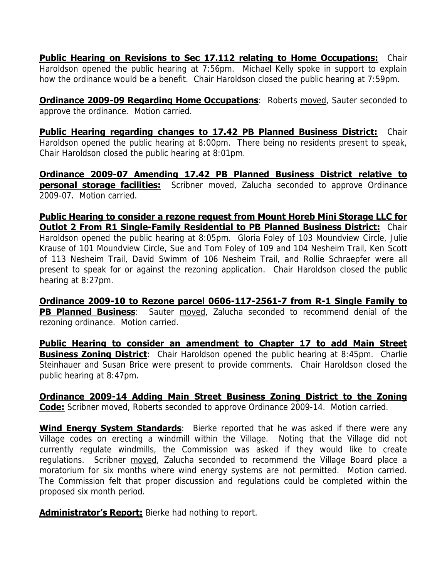**Public Hearing on Revisions to Sec 17.112 relating to Home Occupations:** Chair Haroldson opened the public hearing at 7:56pm. Michael Kelly spoke in support to explain how the ordinance would be a benefit. Chair Haroldson closed the public hearing at 7:59pm.

**Ordinance 2009-09 Regarding Home Occupations**: Roberts moved, Sauter seconded to approve the ordinance. Motion carried.

**Public Hearing regarding changes to 17.42 PB Planned Business District:** Chair Haroldson opened the public hearing at 8:00pm. There being no residents present to speak, Chair Haroldson closed the public hearing at 8:01pm.

**Ordinance 2009-07 Amending 17.42 PB Planned Business District relative to personal storage facilities:** Scribner moved, Zalucha seconded to approve Ordinance 2009-07. Motion carried.

**Public Hearing to consider a rezone request from Mount Horeb Mini Storage LLC for Outlot 2 From R1 Single-Family Residential to PB Planned Business District: Chair** Haroldson opened the public hearing at 8:05pm. Gloria Foley of 103 Moundview Circle, Julie Krause of 101 Moundview Circle, Sue and Tom Foley of 109 and 104 Nesheim Trail, Ken Scott of 113 Nesheim Trail, David Swimm of 106 Nesheim Trail, and Rollie Schraepfer were all present to speak for or against the rezoning application. Chair Haroldson closed the public hearing at 8:27pm.

**Ordinance 2009-10 to Rezone parcel 0606-117-2561-7 from R-1 Single Family to PB Planned Business**: Sauter moved, Zalucha seconded to recommend denial of the rezoning ordinance. Motion carried.

**Public Hearing to consider an amendment to Chapter 17 to add Main Street Business Zoning District**: Chair Haroldson opened the public hearing at 8:45pm. Charlie Steinhauer and Susan Brice were present to provide comments. Chair Haroldson closed the public hearing at 8:47pm.

**Ordinance 2009-14 Adding Main Street Business Zoning District to the Zoning Code:** Scribner moved, Roberts seconded to approve Ordinance 2009-14. Motion carried.

**Wind Energy System Standards**: Bierke reported that he was asked if there were any Village codes on erecting a windmill within the Village. Noting that the Village did not currently regulate windmills, the Commission was asked if they would like to create regulations. Scribner moved, Zalucha seconded to recommend the Village Board place a moratorium for six months where wind energy systems are not permitted. Motion carried. The Commission felt that proper discussion and regulations could be completed within the proposed six month period.

**Administrator's Report:** Bierke had nothing to report.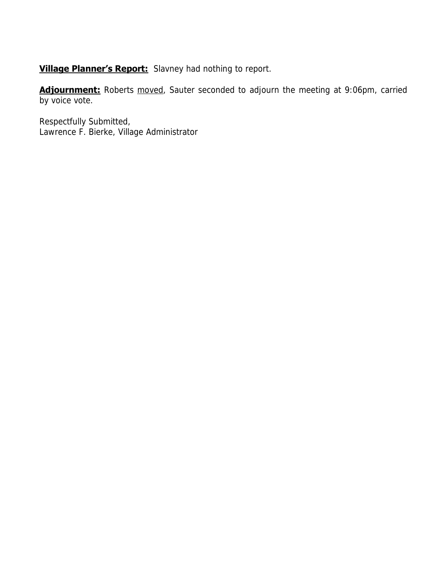**Village Planner's Report:** Slavney had nothing to report.

Adjournment: Roberts moved, Sauter seconded to adjourn the meeting at 9:06pm, carried by voice vote.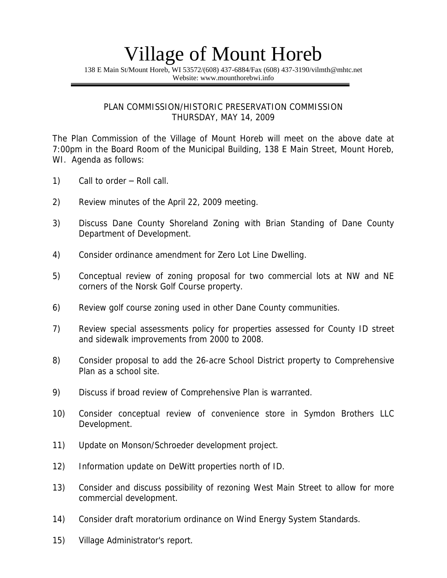138 E Main St/Mount Horeb, WI 53572/(608) 437-6884/Fax (608) 437-3190/vilmth@mhtc.net Website: www.mounthorebwi.info

#### PLAN COMMISSION/HISTORIC PRESERVATION COMMISSION THURSDAY, MAY 14, 2009

The Plan Commission of the Village of Mount Horeb will meet on the above date at 7:00pm in the Board Room of the Municipal Building, 138 E Main Street, Mount Horeb, WI. Agenda as follows:

- 1) Call to order Roll call.
- 2) Review minutes of the April 22, 2009 meeting.
- 3) Discuss Dane County Shoreland Zoning with Brian Standing of Dane County Department of Development.
- 4) Consider ordinance amendment for Zero Lot Line Dwelling.
- 5) Conceptual review of zoning proposal for two commercial lots at NW and NE corners of the Norsk Golf Course property.
- 6) Review golf course zoning used in other Dane County communities.
- 7) Review special assessments policy for properties assessed for County ID street and sidewalk improvements from 2000 to 2008.
- 8) Consider proposal to add the 26-acre School District property to Comprehensive Plan as a school site.
- 9) Discuss if broad review of Comprehensive Plan is warranted.
- 10) Consider conceptual review of convenience store in Symdon Brothers LLC Development.
- 11) Update on Monson/Schroeder development project.
- 12) Information update on DeWitt properties north of ID.
- 13) Consider and discuss possibility of rezoning West Main Street to allow for more commercial development.
- 14) Consider draft moratorium ordinance on Wind Energy System Standards.
- 15) Village Administrator's report.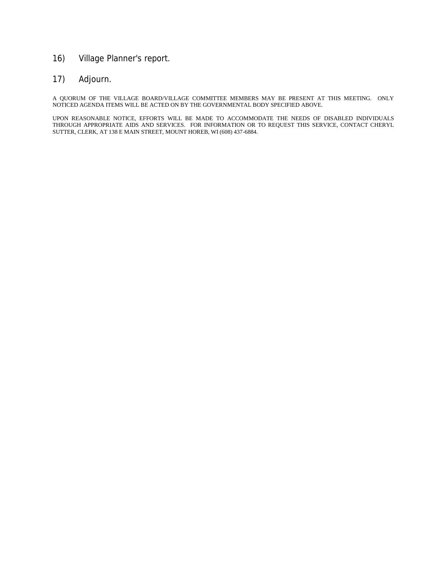### 16) Village Planner's report.

### 17) Adjourn.

A QUORUM OF THE VILLAGE BOARD/VILLAGE COMMITTEE MEMBERS MAY BE PRESENT AT THIS MEETING. ONLY NOTICED AGENDA ITEMS WILL BE ACTED ON BY THE GOVERNMENTAL BODY SPECIFIED ABOVE.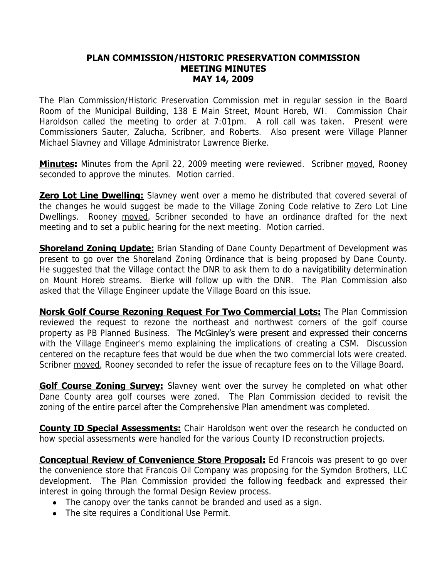#### **PLAN COMMISSION/HISTORIC PRESERVATION COMMISSION MEETING MINUTES MAY 14, 2009**

The Plan Commission/Historic Preservation Commission met in regular session in the Board Room of the Municipal Building, 138 E Main Street, Mount Horeb, WI. Commission Chair Haroldson called the meeting to order at 7:01pm. A roll call was taken. Present were Commissioners Sauter, Zalucha, Scribner, and Roberts. Also present were Village Planner Michael Slavney and Village Administrator Lawrence Bierke.

**Minutes:** Minutes from the April 22, 2009 meeting were reviewed. Scribner moved, Rooney seconded to approve the minutes. Motion carried.

**Zero Lot Line Dwelling:** Slavney went over a memo he distributed that covered several of the changes he would suggest be made to the Village Zoning Code relative to Zero Lot Line Dwellings. Rooney moved, Scribner seconded to have an ordinance drafted for the next meeting and to set a public hearing for the next meeting. Motion carried.

**Shoreland Zoning Update:** Brian Standing of Dane County Department of Development was present to go over the Shoreland Zoning Ordinance that is being proposed by Dane County. He suggested that the Village contact the DNR to ask them to do a navigatibility determination on Mount Horeb streams. Bierke will follow up with the DNR. The Plan Commission also asked that the Village Engineer update the Village Board on this issue.

**Norsk Golf Course Rezoning Request For Two Commercial Lots:** The Plan Commission reviewed the request to rezone the northeast and northwest corners of the golf course property as PB Planned Business. The McGinley's were present and expressed their concerns with the Village Engineer's memo explaining the implications of creating a CSM. Discussion centered on the recapture fees that would be due when the two commercial lots were created. Scribner moved, Rooney seconded to refer the issue of recapture fees on to the Village Board.

**Golf Course Zoning Survey:** Slavney went over the survey he completed on what other Dane County area golf courses were zoned. The Plan Commission decided to revisit the zoning of the entire parcel after the Comprehensive Plan amendment was completed.

**County ID Special Assessments:** Chair Haroldson went over the research he conducted on how special assessments were handled for the various County ID reconstruction projects.

**Conceptual Review of Convenience Store Proposal:** Ed Francois was present to go over the convenience store that Francois Oil Company was proposing for the Symdon Brothers, LLC development. The Plan Commission provided the following feedback and expressed their interest in going through the formal Design Review process.

- The canopy over the tanks cannot be branded and used as a sign.
- The site requires a Conditional Use Permit.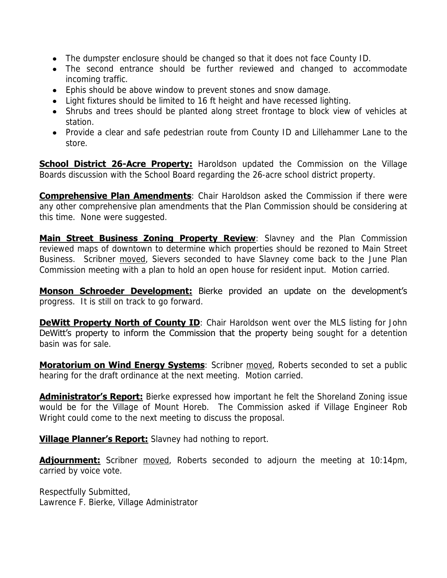- The dumpster enclosure should be changed so that it does not face County ID.
- The second entrance should be further reviewed and changed to accommodate incoming traffic.
- Ephis should be above window to prevent stones and snow damage.
- Light fixtures should be limited to 16 ft height and have recessed lighting.
- Shrubs and trees should be planted along street frontage to block view of vehicles at station.
- Provide a clear and safe pedestrian route from County ID and Lillehammer Lane to the store.

**School District 26-Acre Property:** Haroldson updated the Commission on the Village Boards discussion with the School Board regarding the 26-acre school district property.

**Comprehensive Plan Amendments:** Chair Haroldson asked the Commission if there were any other comprehensive plan amendments that the Plan Commission should be considering at this time. None were suggested.

**Main Street Business Zoning Property Review**: Slavney and the Plan Commission reviewed maps of downtown to determine which properties should be rezoned to Main Street Business. Scribner moved, Sievers seconded to have Slavney come back to the June Plan Commission meeting with a plan to hold an open house for resident input. Motion carried.

**Monson Schroeder Development:** Bierke provided an update on the development's progress. It is still on track to go forward.

**DeWitt Property North of County ID**: Chair Haroldson went over the MLS listing for John DeWitt's property to inform the Commission that the property being sought for a detention basin was for sale.

**Moratorium on Wind Energy Systems:** Scribner moved, Roberts seconded to set a public hearing for the draft ordinance at the next meeting. Motion carried.

**Administrator's Report:** Bierke expressed how important he felt the Shoreland Zoning issue would be for the Village of Mount Horeb. The Commission asked if Village Engineer Rob Wright could come to the next meeting to discuss the proposal.

**Village Planner's Report:** Slavney had nothing to report.

**Adjournment:** Scribner moved, Roberts seconded to adjourn the meeting at 10:14pm, carried by voice vote.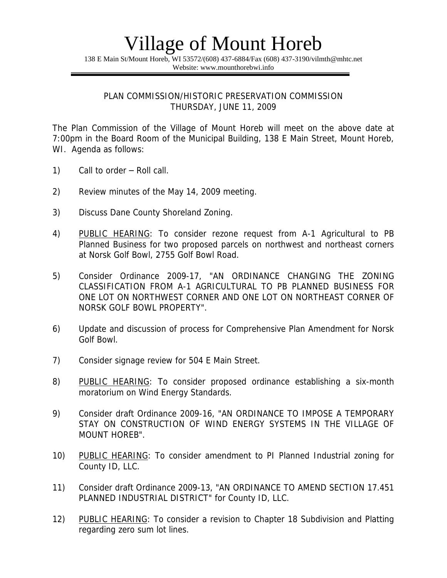138 E Main St/Mount Horeb, WI 53572/(608) 437-6884/Fax (608) 437-3190/vilmth@mhtc.net Website: www.mounthorebwi.info

PLAN COMMISSION/HISTORIC PRESERVATION COMMISSION THURSDAY, JUNE 11, 2009

The Plan Commission of the Village of Mount Horeb will meet on the above date at 7:00pm in the Board Room of the Municipal Building, 138 E Main Street, Mount Horeb, WI. Agenda as follows:

- 1) Call to order Roll call.
- 2) Review minutes of the May 14, 2009 meeting.
- 3) Discuss Dane County Shoreland Zoning.
- 4) PUBLIC HEARING: To consider rezone request from A-1 Agricultural to PB Planned Business for two proposed parcels on northwest and northeast corners at Norsk Golf Bowl, 2755 Golf Bowl Road.
- 5) Consider Ordinance 2009-17, "AN ORDINANCE CHANGING THE ZONING CLASSIFICATION FROM A-1 AGRICULTURAL TO PB PLANNED BUSINESS FOR ONE LOT ON NORTHWEST CORNER AND ONE LOT ON NORTHEAST CORNER OF NORSK GOLF BOWL PROPERTY".
- 6) Update and discussion of process for Comprehensive Plan Amendment for Norsk Golf Bowl.
- 7) Consider signage review for 504 E Main Street.
- 8) PUBLIC HEARING: To consider proposed ordinance establishing a six-month moratorium on Wind Energy Standards.
- 9) Consider draft Ordinance 2009-16, "AN ORDINANCE TO IMPOSE A TEMPORARY STAY ON CONSTRUCTION OF WIND ENERGY SYSTEMS IN THE VILLAGE OF MOUNT HOREB".
- 10) PUBLIC HEARING: To consider amendment to PI Planned Industrial zoning for County ID, LLC.
- 11) Consider draft Ordinance 2009-13, "AN ORDINANCE TO AMEND SECTION 17.451 PLANNED INDUSTRIAL DISTRICT" for County ID, LLC.
- 12) PUBLIC HEARING: To consider a revision to Chapter 18 Subdivision and Platting regarding zero sum lot lines.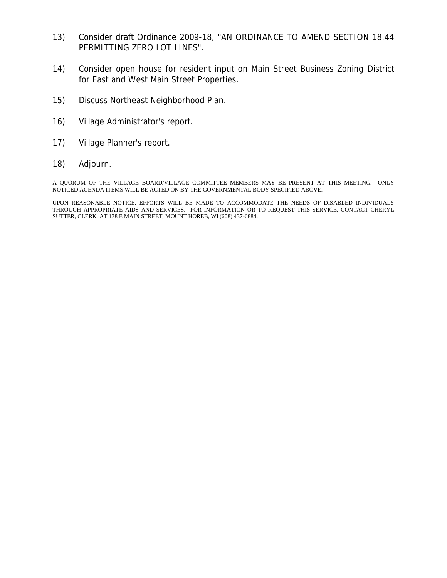- 13) Consider draft Ordinance 2009-18, "AN ORDINANCE TO AMEND SECTION 18.44 PERMITTING ZERO LOT LINES".
- 14) Consider open house for resident input on Main Street Business Zoning District for East and West Main Street Properties.
- 15) Discuss Northeast Neighborhood Plan.
- 16) Village Administrator's report.
- 17) Village Planner's report.
- 18) Adjourn.

A QUORUM OF THE VILLAGE BOARD/VILLAGE COMMITTEE MEMBERS MAY BE PRESENT AT THIS MEETING. ONLY NOTICED AGENDA ITEMS WILL BE ACTED ON BY THE GOVERNMENTAL BODY SPECIFIED ABOVE.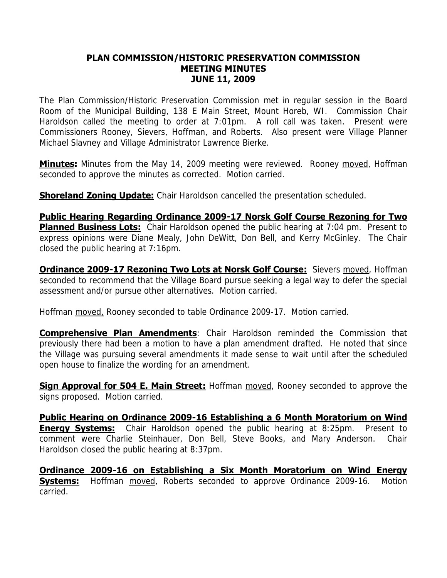#### **PLAN COMMISSION/HISTORIC PRESERVATION COMMISSION MEETING MINUTES JUNE 11, 2009**

The Plan Commission/Historic Preservation Commission met in regular session in the Board Room of the Municipal Building, 138 E Main Street, Mount Horeb, WI. Commission Chair Haroldson called the meeting to order at 7:01pm. A roll call was taken. Present were Commissioners Rooney, Sievers, Hoffman, and Roberts. Also present were Village Planner Michael Slavney and Village Administrator Lawrence Bierke.

**Minutes:** Minutes from the May 14, 2009 meeting were reviewed. Rooney moved, Hoffman seconded to approve the minutes as corrected. Motion carried.

**Shoreland Zoning Update:** Chair Haroldson cancelled the presentation scheduled.

**Public Hearing Regarding Ordinance 2009-17 Norsk Golf Course Rezoning for Two Planned Business Lots:** Chair Haroldson opened the public hearing at 7:04 pm. Present to express opinions were Diane Mealy, John DeWitt, Don Bell, and Kerry McGinley. The Chair closed the public hearing at 7:16pm.

**Ordinance 2009-17 Rezoning Two Lots at Norsk Golf Course:** Sievers moved, Hoffman seconded to recommend that the Village Board pursue seeking a legal way to defer the special assessment and/or pursue other alternatives. Motion carried.

Hoffman moved, Rooney seconded to table Ordinance 2009-17. Motion carried.

**Comprehensive Plan Amendments: Chair Haroldson reminded the Commission that** previously there had been a motion to have a plan amendment drafted. He noted that since the Village was pursuing several amendments it made sense to wait until after the scheduled open house to finalize the wording for an amendment.

**Sign Approval for 504 E. Main Street:** Hoffman moved, Rooney seconded to approve the signs proposed. Motion carried.

**Public Hearing on Ordinance 2009-16 Establishing a 6 Month Moratorium on Wind Energy Systems:** Chair Haroldson opened the public hearing at 8:25pm. Present to comment were Charlie Steinhauer, Don Bell, Steve Books, and Mary Anderson. Chair Haroldson closed the public hearing at 8:37pm.

**Ordinance 2009-16 on Establishing a Six Month Moratorium on Wind Energy Systems:** Hoffman moved, Roberts seconded to approve Ordinance 2009-16. Motion carried.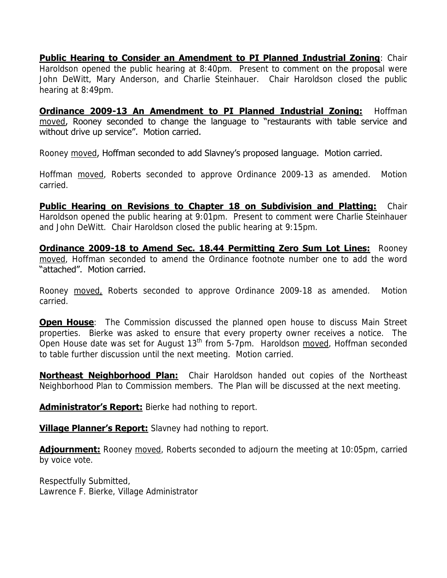**Public Hearing to Consider an Amendment to PI Planned Industrial Zoning**: Chair Haroldson opened the public hearing at 8:40pm. Present to comment on the proposal were John DeWitt, Mary Anderson, and Charlie Steinhauer. Chair Haroldson closed the public hearing at 8:49pm.

**Ordinance 2009-13 An Amendment to PI Planned Industrial Zoning:** Hoffman moved, Rooney seconded to change the language to "restaurants with table service and without drive up service". Motion carried.

Rooney moved, Hoffman seconded to add Slavney's proposed language. Motion carried.

Hoffman moved, Roberts seconded to approve Ordinance 2009-13 as amended. Motion carried.

**Public Hearing on Revisions to Chapter 18 on Subdivision and Platting:** Chair Haroldson opened the public hearing at 9:01pm. Present to comment were Charlie Steinhauer and John DeWitt. Chair Haroldson closed the public hearing at 9:15pm.

**Ordinance 2009-18 to Amend Sec. 18.44 Permitting Zero Sum Lot Lines:** Rooney moved, Hoffman seconded to amend the Ordinance footnote number one to add the word "attached". Motion carried.

Rooney moved, Roberts seconded to approve Ordinance 2009-18 as amended. Motion carried.

**Open House**: The Commission discussed the planned open house to discuss Main Street properties. Bierke was asked to ensure that every property owner receives a notice. The Open House date was set for August 13<sup>th</sup> from 5-7pm. Haroldson moved, Hoffman seconded to table further discussion until the next meeting. Motion carried.

**Northeast Neighborhood Plan:** Chair Haroldson handed out copies of the Northeast Neighborhood Plan to Commission members. The Plan will be discussed at the next meeting.

**Administrator's Report:** Bierke had nothing to report.

**Village Planner's Report:** Slavney had nothing to report.

**Adjournment:** Rooney moved, Roberts seconded to adjourn the meeting at 10:05pm, carried by voice vote.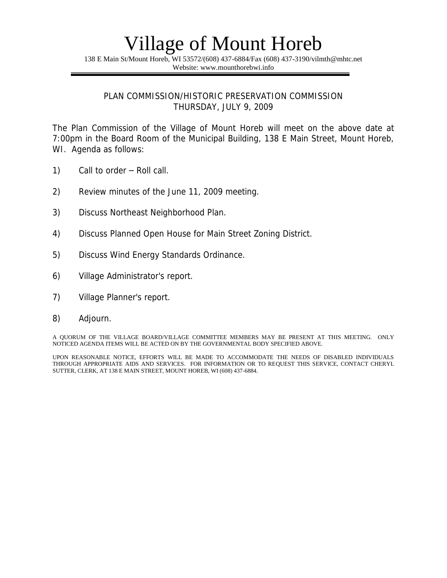138 E Main St/Mount Horeb, WI 53572/(608) 437-6884/Fax (608) 437-3190/vilmth@mhtc.net Website: www.mounthorebwi.info

#### PLAN COMMISSION/HISTORIC PRESERVATION COMMISSION THURSDAY, JULY 9, 2009

The Plan Commission of the Village of Mount Horeb will meet on the above date at 7:00pm in the Board Room of the Municipal Building, 138 E Main Street, Mount Horeb, WI. Agenda as follows:

- 1) Call to order Roll call.
- 2) Review minutes of the June 11, 2009 meeting.
- 3) Discuss Northeast Neighborhood Plan.
- 4) Discuss Planned Open House for Main Street Zoning District.
- 5) Discuss Wind Energy Standards Ordinance.
- 6) Village Administrator's report.
- 7) Village Planner's report.
- 8) Adjourn.

A QUORUM OF THE VILLAGE BOARD/VILLAGE COMMITTEE MEMBERS MAY BE PRESENT AT THIS MEETING. ONLY NOTICED AGENDA ITEMS WILL BE ACTED ON BY THE GOVERNMENTAL BODY SPECIFIED ABOVE.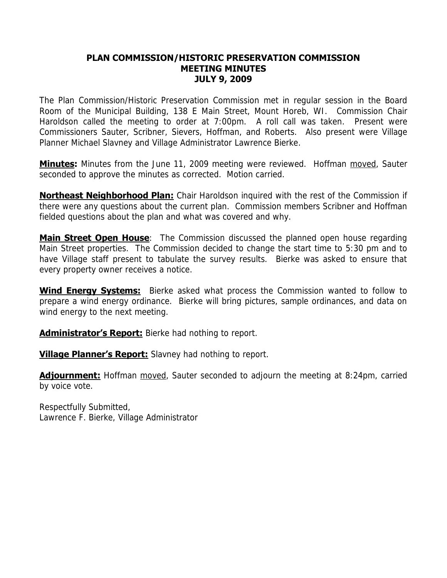#### **PLAN COMMISSION/HISTORIC PRESERVATION COMMISSION MEETING MINUTES JULY 9, 2009**

The Plan Commission/Historic Preservation Commission met in regular session in the Board Room of the Municipal Building, 138 E Main Street, Mount Horeb, WI. Commission Chair Haroldson called the meeting to order at 7:00pm. A roll call was taken. Present were Commissioners Sauter, Scribner, Sievers, Hoffman, and Roberts. Also present were Village Planner Michael Slavney and Village Administrator Lawrence Bierke.

**Minutes:** Minutes from the June 11, 2009 meeting were reviewed. Hoffman moved, Sauter seconded to approve the minutes as corrected. Motion carried.

**Northeast Neighborhood Plan:** Chair Haroldson inquired with the rest of the Commission if there were any questions about the current plan. Commission members Scribner and Hoffman fielded questions about the plan and what was covered and why.

**Main Street Open House**: The Commission discussed the planned open house regarding Main Street properties. The Commission decided to change the start time to 5:30 pm and to have Village staff present to tabulate the survey results. Bierke was asked to ensure that every property owner receives a notice.

**Wind Energy Systems:** Bierke asked what process the Commission wanted to follow to prepare a wind energy ordinance. Bierke will bring pictures, sample ordinances, and data on wind energy to the next meeting.

**Administrator's Report:** Bierke had nothing to report.

**Village Planner's Report:** Slavney had nothing to report.

**Adjournment:** Hoffman moved, Sauter seconded to adjourn the meeting at 8:24pm, carried by voice vote.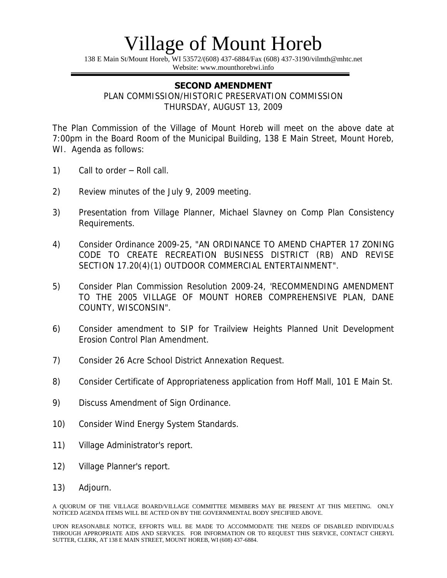138 E Main St/Mount Horeb, WI 53572/(608) 437-6884/Fax (608) 437-3190/vilmth@mhtc.net Website: www.mounthorebwi.info

### **SECOND AMENDMENT**

PLAN COMMISSION/HISTORIC PRESERVATION COMMISSION THURSDAY, AUGUST 13, 2009

The Plan Commission of the Village of Mount Horeb will meet on the above date at 7:00pm in the Board Room of the Municipal Building, 138 E Main Street, Mount Horeb, WI. Agenda as follows:

- 1) Call to order Roll call.
- 2) Review minutes of the July 9, 2009 meeting.
- 3) Presentation from Village Planner, Michael Slavney on Comp Plan Consistency Requirements.
- 4) Consider Ordinance 2009-25, "AN ORDINANCE TO AMEND CHAPTER 17 ZONING CODE TO CREATE RECREATION BUSINESS DISTRICT (RB) AND REVISE SECTION 17.20(4)(1) OUTDOOR COMMERCIAL ENTERTAINMENT".
- 5) Consider Plan Commission Resolution 2009-24, 'RECOMMENDING AMENDMENT TO THE 2005 VILLAGE OF MOUNT HOREB COMPREHENSIVE PLAN, DANE COUNTY, WISCONSIN".
- 6) Consider amendment to SIP for Trailview Heights Planned Unit Development Erosion Control Plan Amendment.
- 7) Consider 26 Acre School District Annexation Request.
- 8) Consider Certificate of Appropriateness application from Hoff Mall, 101 E Main St.
- 9) Discuss Amendment of Sign Ordinance.
- 10) Consider Wind Energy System Standards.
- 11) Village Administrator's report.
- 12) Village Planner's report.
- 13) Adjourn.

A QUORUM OF THE VILLAGE BOARD/VILLAGE COMMITTEE MEMBERS MAY BE PRESENT AT THIS MEETING. ONLY NOTICED AGENDA ITEMS WILL BE ACTED ON BY THE GOVERNMENTAL BODY SPECIFIED ABOVE.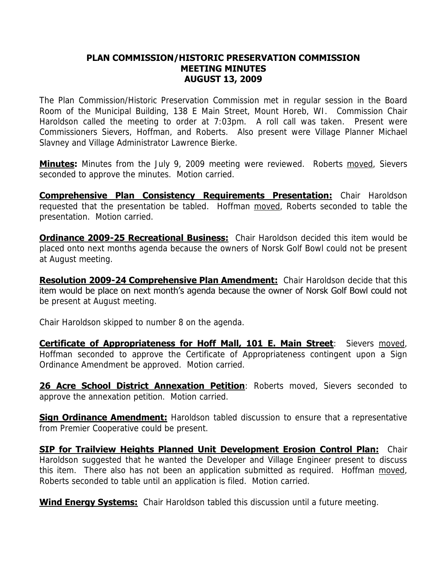#### **PLAN COMMISSION/HISTORIC PRESERVATION COMMISSION MEETING MINUTES AUGUST 13, 2009**

The Plan Commission/Historic Preservation Commission met in regular session in the Board Room of the Municipal Building, 138 E Main Street, Mount Horeb, WI. Commission Chair Haroldson called the meeting to order at 7:03pm. A roll call was taken. Present were Commissioners Sievers, Hoffman, and Roberts. Also present were Village Planner Michael Slavney and Village Administrator Lawrence Bierke.

**Minutes:** Minutes from the July 9, 2009 meeting were reviewed. Roberts moved, Sievers seconded to approve the minutes. Motion carried.

**Comprehensive Plan Consistency Requirements Presentation:** Chair Haroldson requested that the presentation be tabled. Hoffman moved, Roberts seconded to table the presentation. Motion carried.

**Ordinance 2009-25 Recreational Business:** Chair Haroldson decided this item would be placed onto next months agenda because the owners of Norsk Golf Bowl could not be present at August meeting.

**Resolution 2009-24 Comprehensive Plan Amendment:** Chair Haroldson decide that this item would be place on next month's agenda because the owner of Norsk Golf Bowl could not be present at August meeting.

Chair Haroldson skipped to number 8 on the agenda.

**Certificate of Appropriateness for Hoff Mall, 101 E. Main Street**: Sievers moved, Hoffman seconded to approve the Certificate of Appropriateness contingent upon a Sign Ordinance Amendment be approved. Motion carried.

**26 Acre School District Annexation Petition**: Roberts moved, Sievers seconded to approve the annexation petition. Motion carried.

**Sign Ordinance Amendment:** Haroldson tabled discussion to ensure that a representative from Premier Cooperative could be present.

**SIP for Trailview Heights Planned Unit Development Erosion Control Plan:** Chair Haroldson suggested that he wanted the Developer and Village Engineer present to discuss this item. There also has not been an application submitted as required. Hoffman moved, Roberts seconded to table until an application is filed. Motion carried.

**Wind Energy Systems:** Chair Haroldson tabled this discussion until a future meeting.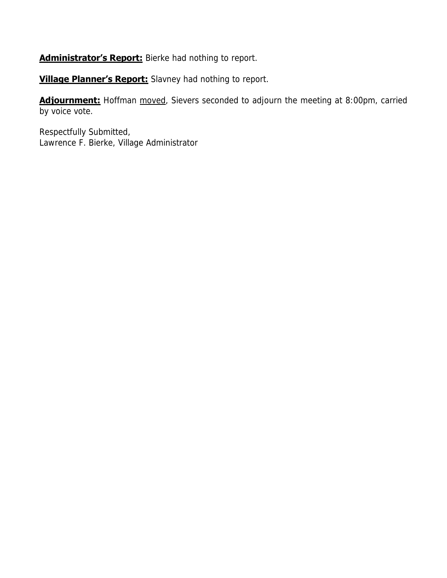**Administrator's Report:** Bierke had nothing to report.

**Village Planner's Report:** Slavney had nothing to report.

**Adjournment:** Hoffman moved, Sievers seconded to adjourn the meeting at 8:00pm, carried by voice vote.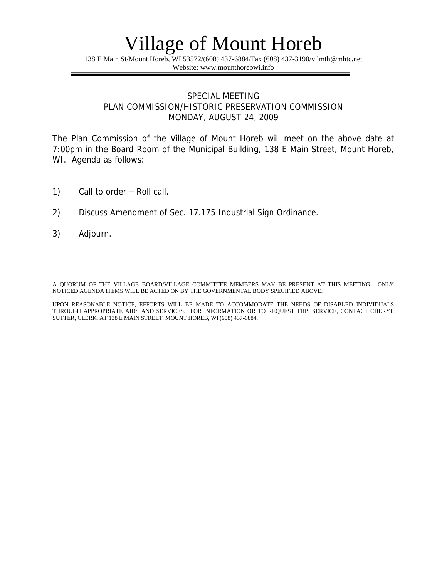138 E Main St/Mount Horeb, WI 53572/(608) 437-6884/Fax (608) 437-3190/vilmth@mhtc.net Website: www.mounthorebwi.info

#### SPECIAL MEETING PLAN COMMISSION/HISTORIC PRESERVATION COMMISSION MONDAY, AUGUST 24, 2009

The Plan Commission of the Village of Mount Horeb will meet on the above date at 7:00pm in the Board Room of the Municipal Building, 138 E Main Street, Mount Horeb, WI. Agenda as follows:

- 1) Call to order Roll call.
- 2) Discuss Amendment of Sec. 17.175 Industrial Sign Ordinance.
- 3) Adjourn.

A QUORUM OF THE VILLAGE BOARD/VILLAGE COMMITTEE MEMBERS MAY BE PRESENT AT THIS MEETING. ONLY NOTICED AGENDA ITEMS WILL BE ACTED ON BY THE GOVERNMENTAL BODY SPECIFIED ABOVE.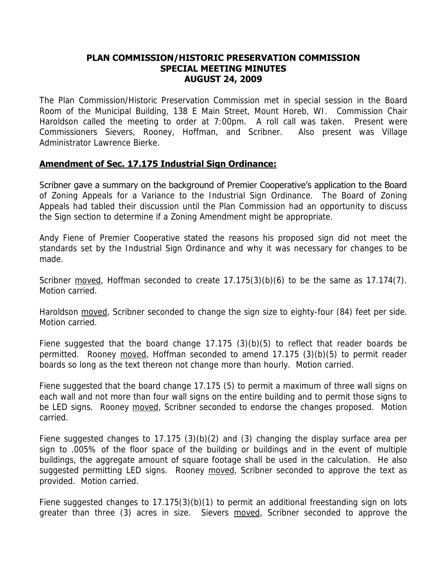#### **PLAN COMMISSION/HISTORIC PRESERVATION COMMISSION SPECIAL MEETING MINUTES AUGUST 24, 2009**

The Plan Commission/Historic Preservation Commission met in special session in the Board Room of the Municipal Building, 138 E Main Street, Mount Horeb, WI. Commission Chair Haroldson called the meeting to order at 7:00pm. A roll call was taken. Present were Commissioners Sievers, Rooney, Hoffman, and Scribner. Also present was Village Administrator Lawrence Bierke.

### **Amendment of Sec. 17.175 Industrial Sign Ordinance:**

Scribner gave a summary on the background of Premier Cooperative's application to the Board of Zoning Appeals for a Variance to the Industrial Sign Ordinance. The Board of Zoning Appeals had tabled their discussion until the Plan Commission had an opportunity to discuss the Sign section to determine if a Zoning Amendment might be appropriate.

Andy Fiene of Premier Cooperative stated the reasons his proposed sign did not meet the standards set by the Industrial Sign Ordinance and why it was necessary for changes to be made.

Scribner moved, Hoffman seconded to create  $17.175(3)(b)(6)$  to be the same as  $17.174(7)$ . Motion carried.

Haroldson moved, Scribner seconded to change the sign size to eighty-four (84) feet per side. Motion carried.

Fiene suggested that the board change  $17.175$   $(3)(b)(5)$  to reflect that reader boards be permitted. Rooney moved, Hoffman seconded to amend 17.175 (3)(b)(5) to permit reader boards so long as the text thereon not change more than hourly. Motion carried.

Fiene suggested that the board change 17.175 (5) to permit a maximum of three wall signs on each wall and not more than four wall signs on the entire building and to permit those signs to be LED signs. Rooney moved, Scribner seconded to endorse the changes proposed. Motion carried.

Fiene suggested changes to 17.175 (3)(b)(2) and (3) changing the display surface area per sign to .005% of the floor space of the building or buildings and in the event of multiple buildings, the aggregate amount of square footage shall be used in the calculation. He also suggested permitting LED signs. Rooney moved, Scribner seconded to approve the text as provided. Motion carried.

Fiene suggested changes to 17.175(3)(b)(1) to permit an additional freestanding sign on lots greater than three (3) acres in size. Sievers moved, Scribner seconded to approve the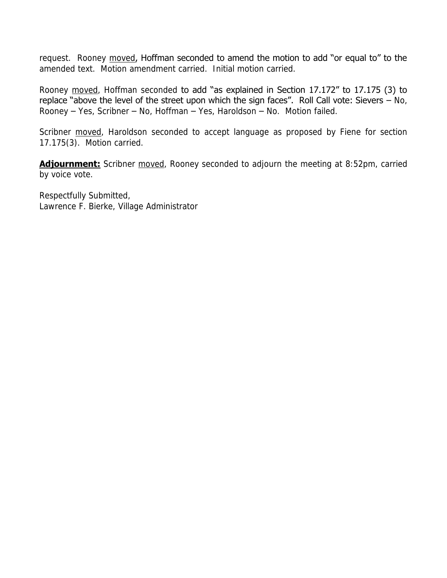request. Rooney moved, Hoffman seconded to amend the motion to add "or equal to" to the amended text. Motion amendment carried. Initial motion carried.

Rooney moved, Hoffman seconded to add "as explained in Section 17.172" to 17.175 (3) to replace "above the level of the street upon which the sign faces". Roll Call vote: Sievers – No, Rooney – Yes, Scribner – No, Hoffman – Yes, Haroldson – No. Motion failed.

Scribner moved, Haroldson seconded to accept language as proposed by Fiene for section 17.175(3). Motion carried.

**Adjournment:** Scribner moved, Rooney seconded to adjourn the meeting at 8:52pm, carried by voice vote.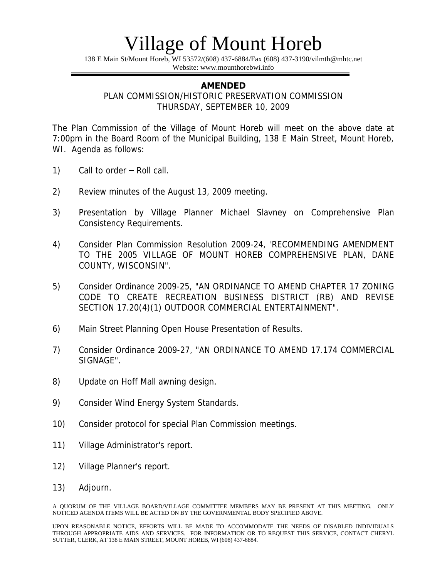138 E Main St/Mount Horeb, WI 53572/(608) 437-6884/Fax (608) 437-3190/vilmth@mhtc.net Website: www.mounthorebwi.info

#### **AMENDED**

PLAN COMMISSION/HISTORIC PRESERVATION COMMISSION THURSDAY, SEPTEMBER 10, 2009

The Plan Commission of the Village of Mount Horeb will meet on the above date at 7:00pm in the Board Room of the Municipal Building, 138 E Main Street, Mount Horeb, WI. Agenda as follows:

- 1) Call to order Roll call.
- 2) Review minutes of the August 13, 2009 meeting.
- 3) Presentation by Village Planner Michael Slavney on Comprehensive Plan Consistency Requirements.
- 4) Consider Plan Commission Resolution 2009-24, 'RECOMMENDING AMENDMENT TO THE 2005 VILLAGE OF MOUNT HOREB COMPREHENSIVE PLAN, DANE COUNTY, WISCONSIN".
- 5) Consider Ordinance 2009-25, "AN ORDINANCE TO AMEND CHAPTER 17 ZONING CODE TO CREATE RECREATION BUSINESS DISTRICT (RB) AND REVISE SECTION 17.20(4)(1) OUTDOOR COMMERCIAL ENTERTAINMENT".
- 6) Main Street Planning Open House Presentation of Results.
- 7) Consider Ordinance 2009-27, "AN ORDINANCE TO AMEND 17.174 COMMERCIAL SIGNAGE".
- 8) Update on Hoff Mall awning design.
- 9) Consider Wind Energy System Standards.
- 10) Consider protocol for special Plan Commission meetings.
- 11) Village Administrator's report.
- 12) Village Planner's report.
- 13) Adjourn.

A QUORUM OF THE VILLAGE BOARD/VILLAGE COMMITTEE MEMBERS MAY BE PRESENT AT THIS MEETING. ONLY NOTICED AGENDA ITEMS WILL BE ACTED ON BY THE GOVERNMENTAL BODY SPECIFIED ABOVE.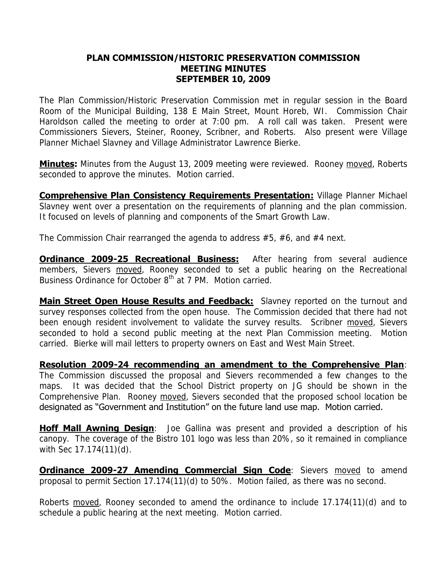#### **PLAN COMMISSION/HISTORIC PRESERVATION COMMISSION MEETING MINUTES SEPTEMBER 10, 2009**

The Plan Commission/Historic Preservation Commission met in regular session in the Board Room of the Municipal Building, 138 E Main Street, Mount Horeb, WI. Commission Chair Haroldson called the meeting to order at 7:00 pm. A roll call was taken. Present were Commissioners Sievers, Steiner, Rooney, Scribner, and Roberts. Also present were Village Planner Michael Slavney and Village Administrator Lawrence Bierke.

**Minutes:** Minutes from the August 13, 2009 meeting were reviewed. Rooney moved, Roberts seconded to approve the minutes. Motion carried.

**Comprehensive Plan Consistency Requirements Presentation:** Village Planner Michael Slavney went over a presentation on the requirements of planning and the plan commission. It focused on levels of planning and components of the Smart Growth Law.

The Commission Chair rearranged the agenda to address #5, #6, and #4 next.

**Ordinance 2009-25 Recreational Business:** After hearing from several audience members, Sievers moved, Rooney seconded to set a public hearing on the Recreational Business Ordinance for October 8<sup>th</sup> at 7 PM. Motion carried.

**Main Street Open House Results and Feedback:** Slavney reported on the turnout and survey responses collected from the open house. The Commission decided that there had not been enough resident involvement to validate the survey results. Scribner moved, Sievers seconded to hold a second public meeting at the next Plan Commission meeting. Motion carried. Bierke will mail letters to property owners on East and West Main Street.

**Resolution 2009-24 recommending an amendment to the Comprehensive Plan**: The Commission discussed the proposal and Sievers recommended a few changes to the maps. It was decided that the School District property on JG should be shown in the Comprehensive Plan. Rooney moved, Sievers seconded that the proposed school location be designated as "Government and Institution" on the future land use map. Motion carried.

**Hoff Mall Awning Design**: Joe Gallina was present and provided a description of his canopy. The coverage of the Bistro 101 logo was less than 20%, so it remained in compliance with Sec 17.174(11)(d).

**Ordinance 2009-27 Amending Commercial Sign Code: Sievers moved to amend** proposal to permit Section 17.174(11)(d) to 50%. Motion failed, as there was no second.

Roberts moved, Rooney seconded to amend the ordinance to include 17.174(11)(d) and to schedule a public hearing at the next meeting. Motion carried.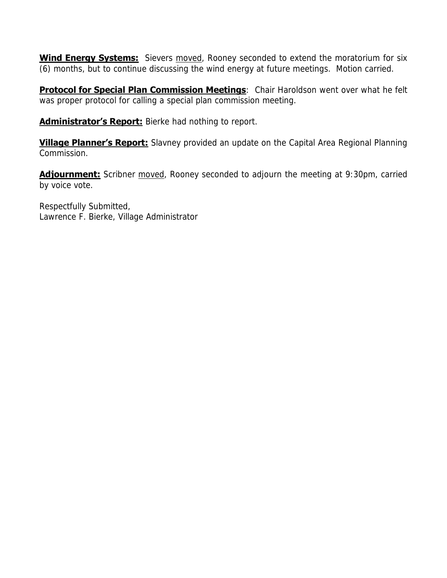**Wind Energy Systems:** Sievers moved, Rooney seconded to extend the moratorium for six (6) months, but to continue discussing the wind energy at future meetings. Motion carried.

**Protocol for Special Plan Commission Meetings:** Chair Haroldson went over what he felt was proper protocol for calling a special plan commission meeting.

**Administrator's Report:** Bierke had nothing to report.

**Village Planner's Report:** Slavney provided an update on the Capital Area Regional Planning Commission.

**Adjournment:** Scribner moved, Rooney seconded to adjourn the meeting at 9:30pm, carried by voice vote.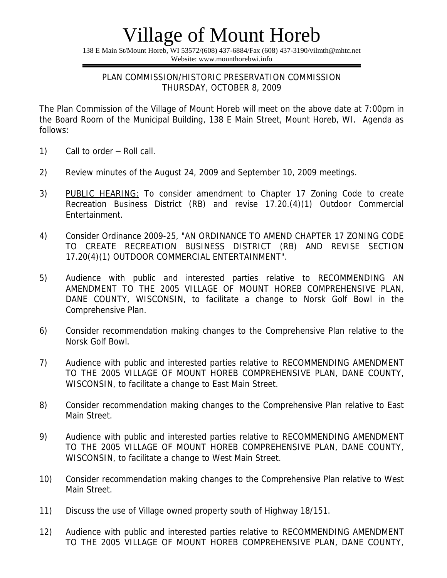138 E Main St/Mount Horeb, WI 53572/(608) 437-6884/Fax (608) 437-3190/vilmth@mhtc.net Website: www.mounthorebwi.info

#### PLAN COMMISSION/HISTORIC PRESERVATION COMMISSION THURSDAY, OCTOBER 8, 2009

The Plan Commission of the Village of Mount Horeb will meet on the above date at 7:00pm in the Board Room of the Municipal Building, 138 E Main Street, Mount Horeb, WI. Agenda as follows:

- 1) Call to order Roll call.
- 2) Review minutes of the August 24, 2009 and September 10, 2009 meetings.
- 3) PUBLIC HEARING: To consider amendment to Chapter 17 Zoning Code to create Recreation Business District (RB) and revise 17.20.(4)(1) Outdoor Commercial Entertainment.
- 4) Consider Ordinance 2009-25, "AN ORDINANCE TO AMEND CHAPTER 17 ZONING CODE TO CREATE RECREATION BUSINESS DISTRICT (RB) AND REVISE SECTION 17.20(4)(1) OUTDOOR COMMERCIAL ENTERTAINMENT".
- 5) Audience with public and interested parties relative to RECOMMENDING AN AMENDMENT TO THE 2005 VILLAGE OF MOUNT HOREB COMPREHENSIVE PLAN, DANE COUNTY, WISCONSIN, to facilitate a change to Norsk Golf Bowl in the Comprehensive Plan.
- 6) Consider recommendation making changes to the Comprehensive Plan relative to the Norsk Golf Bowl.
- 7) Audience with public and interested parties relative to RECOMMENDING AMENDMENT TO THE 2005 VILLAGE OF MOUNT HOREB COMPREHENSIVE PLAN, DANE COUNTY, WISCONSIN, to facilitate a change to East Main Street.
- 8) Consider recommendation making changes to the Comprehensive Plan relative to East Main Street.
- 9) Audience with public and interested parties relative to RECOMMENDING AMENDMENT TO THE 2005 VILLAGE OF MOUNT HOREB COMPREHENSIVE PLAN, DANE COUNTY, WISCONSIN, to facilitate a change to West Main Street.
- 10) Consider recommendation making changes to the Comprehensive Plan relative to West Main Street.
- 11) Discuss the use of Village owned property south of Highway 18/151.
- 12) Audience with public and interested parties relative to RECOMMENDING AMENDMENT TO THE 2005 VILLAGE OF MOUNT HOREB COMPREHENSIVE PLAN, DANE COUNTY,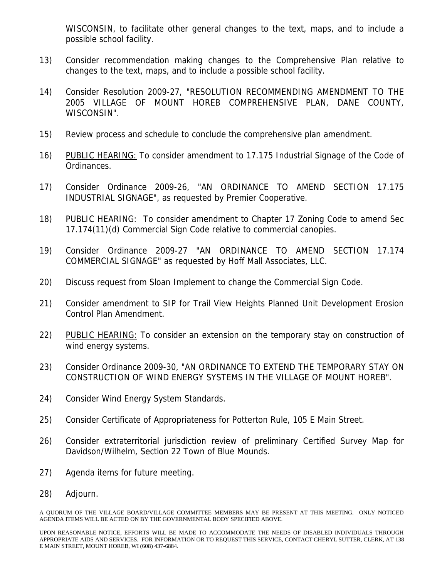WISCONSIN, to facilitate other general changes to the text, maps, and to include a possible school facility.

- 13) Consider recommendation making changes to the Comprehensive Plan relative to changes to the text, maps, and to include a possible school facility.
- 14) Consider Resolution 2009-27, "RESOLUTION RECOMMENDING AMENDMENT TO THE 2005 VILLAGE OF MOUNT HOREB COMPREHENSIVE PLAN, DANE COUNTY, WISCONSIN".
- 15) Review process and schedule to conclude the comprehensive plan amendment.
- 16) PUBLIC HEARING: To consider amendment to 17.175 Industrial Signage of the Code of Ordinances.
- 17) Consider Ordinance 2009-26, "AN ORDINANCE TO AMEND SECTION 17.175 INDUSTRIAL SIGNAGE", as requested by Premier Cooperative.
- 18) PUBLIC HEARING: To consider amendment to Chapter 17 Zoning Code to amend Sec 17.174(11)(d) Commercial Sign Code relative to commercial canopies.
- 19) Consider Ordinance 2009-27 "AN ORDINANCE TO AMEND SECTION 17.174 COMMERCIAL SIGNAGE" as requested by Hoff Mall Associates, LLC.
- 20) Discuss request from Sloan Implement to change the Commercial Sign Code.
- 21) Consider amendment to SIP for Trail View Heights Planned Unit Development Erosion Control Plan Amendment.
- 22) PUBLIC HEARING: To consider an extension on the temporary stay on construction of wind energy systems.
- 23) Consider Ordinance 2009-30, "AN ORDINANCE TO EXTEND THE TEMPORARY STAY ON CONSTRUCTION OF WIND ENERGY SYSTEMS IN THE VILLAGE OF MOUNT HOREB".
- 24) Consider Wind Energy System Standards.
- 25) Consider Certificate of Appropriateness for Potterton Rule, 105 E Main Street.
- 26) Consider extraterritorial jurisdiction review of preliminary Certified Survey Map for Davidson/Wilhelm, Section 22 Town of Blue Mounds.
- 27) Agenda items for future meeting.
- 28) Adjourn.

A QUORUM OF THE VILLAGE BOARD/VILLAGE COMMITTEE MEMBERS MAY BE PRESENT AT THIS MEETING. ONLY NOTICED AGENDA ITEMS WILL BE ACTED ON BY THE GOVERNMENTAL BODY SPECIFIED ABOVE.

UPON REASONABLE NOTICE, EFFORTS WILL BE MADE TO ACCOMMODATE THE NEEDS OF DISABLED INDIVIDUALS THROUGH APPROPRIATE AIDS AND SERVICES. FOR INFORMATION OR TO REQUEST THIS SERVICE, CONTACT CHERYL SUTTER, CLERK, AT 138 E MAIN STREET, MOUNT HOREB, WI (608) 437-6884.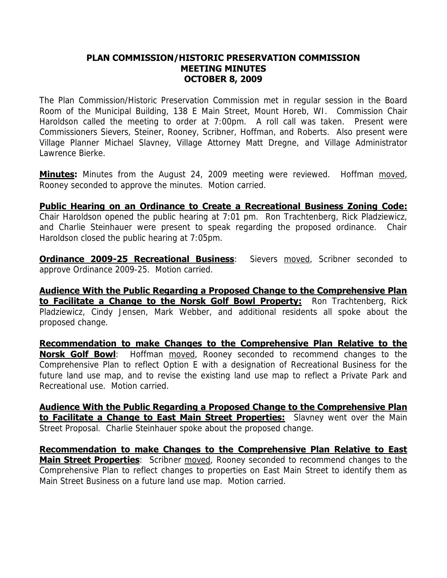#### **PLAN COMMISSION/HISTORIC PRESERVATION COMMISSION MEETING MINUTES OCTOBER 8, 2009**

The Plan Commission/Historic Preservation Commission met in regular session in the Board Room of the Municipal Building, 138 E Main Street, Mount Horeb, WI. Commission Chair Haroldson called the meeting to order at 7:00pm. A roll call was taken. Present were Commissioners Sievers, Steiner, Rooney, Scribner, Hoffman, and Roberts. Also present were Village Planner Michael Slavney, Village Attorney Matt Dregne, and Village Administrator Lawrence Bierke.

**Minutes:** Minutes from the August 24, 2009 meeting were reviewed. Hoffman moved, Rooney seconded to approve the minutes. Motion carried.

**Public Hearing on an Ordinance to Create a Recreational Business Zoning Code:** Chair Haroldson opened the public hearing at 7:01 pm. Ron Trachtenberg, Rick Pladziewicz, and Charlie Steinhauer were present to speak regarding the proposed ordinance. Chair Haroldson closed the public hearing at 7:05pm.

**Ordinance 2009-25 Recreational Business**: Sievers moved, Scribner seconded to approve Ordinance 2009-25. Motion carried.

**Audience With the Public Regarding a Proposed Change to the Comprehensive Plan to Facilitate a Change to the Norsk Golf Bowl Property:** Ron Trachtenberg, Rick Pladziewicz, Cindy Jensen, Mark Webber, and additional residents all spoke about the proposed change.

**Recommendation to make Changes to the Comprehensive Plan Relative to the Norsk Golf Bowl**: Hoffman moved, Rooney seconded to recommend changes to the Comprehensive Plan to reflect Option E with a designation of Recreational Business for the future land use map, and to revise the existing land use map to reflect a Private Park and Recreational use. Motion carried.

**Audience With the Public Regarding a Proposed Change to the Comprehensive Plan to Facilitate a Change to East Main Street Properties:** Slavney went over the Main Street Proposal. Charlie Steinhauer spoke about the proposed change.

**Recommendation to make Changes to the Comprehensive Plan Relative to East Main Street Properties**: Scribner moved, Rooney seconded to recommend changes to the Comprehensive Plan to reflect changes to properties on East Main Street to identify them as Main Street Business on a future land use map. Motion carried.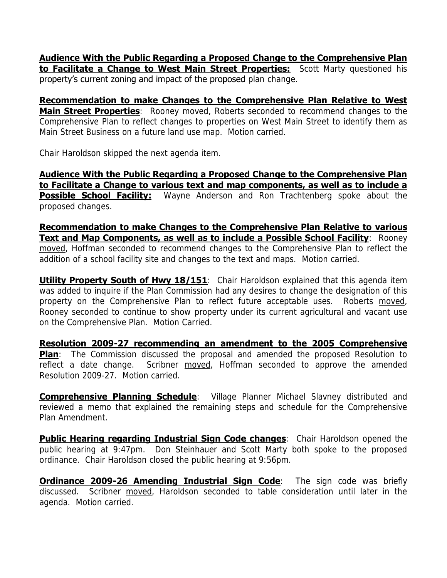**Audience With the Public Regarding a Proposed Change to the Comprehensive Plan to Facilitate a Change to West Main Street Properties:** Scott Marty questioned his property's current zoning and impact of the proposed plan change.

**Recommendation to make Changes to the Comprehensive Plan Relative to West Main Street Properties**: Rooney moved, Roberts seconded to recommend changes to the Comprehensive Plan to reflect changes to properties on West Main Street to identify them as Main Street Business on a future land use map. Motion carried.

Chair Haroldson skipped the next agenda item.

**Audience With the Public Regarding a Proposed Change to the Comprehensive Plan to Facilitate a Change to various text and map components, as well as to include a Possible School Facility:** Wayne Anderson and Ron Trachtenberg spoke about the proposed changes.

**Recommendation to make Changes to the Comprehensive Plan Relative to various Text and Map Components, as well as to include a Possible School Facility: Rooney** moved, Hoffman seconded to recommend changes to the Comprehensive Plan to reflect the addition of a school facility site and changes to the text and maps. Motion carried.

**Utility Property South of Hwy 18/151**: Chair Haroldson explained that this agenda item was added to inquire if the Plan Commission had any desires to change the designation of this property on the Comprehensive Plan to reflect future acceptable uses. Roberts moved, Rooney seconded to continue to show property under its current agricultural and vacant use on the Comprehensive Plan. Motion Carried.

**Resolution 2009-27 recommending an amendment to the 2005 Comprehensive Plan**: The Commission discussed the proposal and amended the proposed Resolution to reflect a date change. Scribner moved, Hoffman seconded to approve the amended Resolution 2009-27. Motion carried.

**Comprehensive Planning Schedule**: Village Planner Michael Slavney distributed and reviewed a memo that explained the remaining steps and schedule for the Comprehensive Plan Amendment.

**Public Hearing regarding Industrial Sign Code changes:** Chair Haroldson opened the public hearing at 9:47pm. Don Steinhauer and Scott Marty both spoke to the proposed ordinance. Chair Haroldson closed the public hearing at 9:56pm.

**Ordinance 2009-26 Amending Industrial Sign Code**: The sign code was briefly discussed. Scribner moved, Haroldson seconded to table consideration until later in the agenda. Motion carried.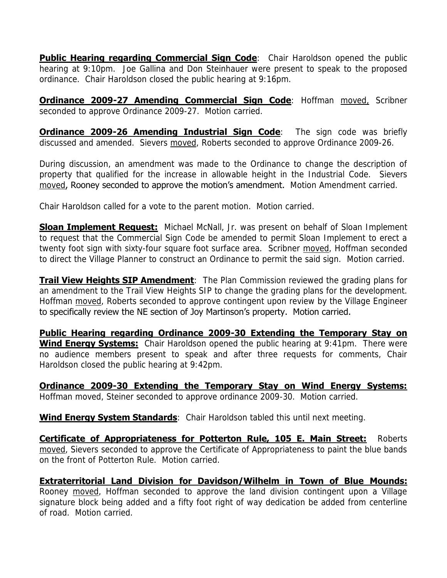**Public Hearing regarding Commercial Sign Code**: Chair Haroldson opened the public hearing at 9:10pm. Joe Gallina and Don Steinhauer were present to speak to the proposed ordinance. Chair Haroldson closed the public hearing at 9:16pm.

**Ordinance 2009-27 Amending Commercial Sign Code**: Hoffman moved, Scribner seconded to approve Ordinance 2009-27. Motion carried.

**Ordinance 2009-26 Amending Industrial Sign Code**: The sign code was briefly discussed and amended. Sievers moved, Roberts seconded to approve Ordinance 2009-26.

During discussion, an amendment was made to the Ordinance to change the description of property that qualified for the increase in allowable height in the Industrial Code. Sievers moved, Rooney seconded to approve the motion's amendment. Motion Amendment carried.

Chair Haroldson called for a vote to the parent motion. Motion carried.

**Sloan Implement Request:** Michael McNall, Jr. was present on behalf of Sloan Implement to request that the Commercial Sign Code be amended to permit Sloan Implement to erect a twenty foot sign with sixty-four square foot surface area. Scribner moved, Hoffman seconded to direct the Village Planner to construct an Ordinance to permit the said sign. Motion carried.

**Trail View Heights SIP Amendment**: The Plan Commission reviewed the grading plans for an amendment to the Trail View Heights SIP to change the grading plans for the development. Hoffman moved, Roberts seconded to approve contingent upon review by the Village Engineer to specifically review the NE section of Joy Martinson's property. Motion carried.

**Public Hearing regarding Ordinance 2009-30 Extending the Temporary Stay on Wind Energy Systems:** Chair Haroldson opened the public hearing at 9:41pm. There were no audience members present to speak and after three requests for comments, Chair Haroldson closed the public hearing at 9:42pm.

**Ordinance 2009-30 Extending the Temporary Stay on Wind Energy Systems:** Hoffman moved, Steiner seconded to approve ordinance 2009-30. Motion carried.

**Wind Energy System Standards**: Chair Haroldson tabled this until next meeting.

**Certificate of Appropriateness for Potterton Rule, 105 E. Main Street:** Roberts moved, Sievers seconded to approve the Certificate of Appropriateness to paint the blue bands on the front of Potterton Rule. Motion carried.

**Extraterritorial Land Division for Davidson/Wilhelm in Town of Blue Mounds:** Rooney moved, Hoffman seconded to approve the land division contingent upon a Village signature block being added and a fifty foot right of way dedication be added from centerline of road. Motion carried.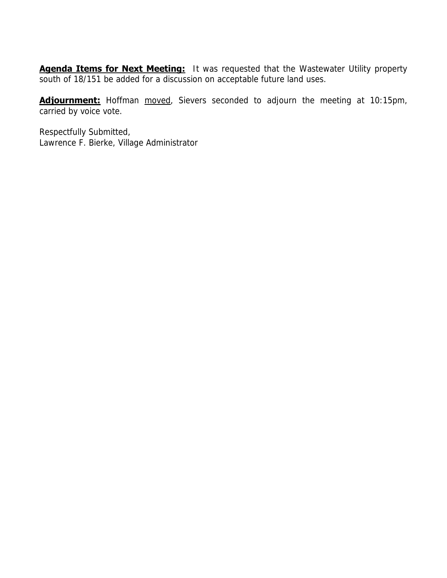**Agenda Items for Next Meeting:** It was requested that the Wastewater Utility property south of 18/151 be added for a discussion on acceptable future land uses.

**Adjournment:** Hoffman moved, Sievers seconded to adjourn the meeting at 10:15pm, carried by voice vote.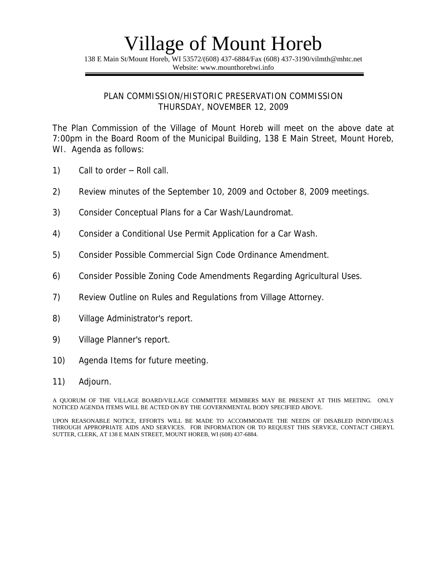138 E Main St/Mount Horeb, WI 53572/(608) 437-6884/Fax (608) 437-3190/vilmth@mhtc.net Website: www.mounthorebwi.info

#### PLAN COMMISSION/HISTORIC PRESERVATION COMMISSION THURSDAY, NOVEMBER 12, 2009

The Plan Commission of the Village of Mount Horeb will meet on the above date at 7:00pm in the Board Room of the Municipal Building, 138 E Main Street, Mount Horeb, WI. Agenda as follows:

- 1) Call to order Roll call.
- 2) Review minutes of the September 10, 2009 and October 8, 2009 meetings.
- 3) Consider Conceptual Plans for a Car Wash/Laundromat.
- 4) Consider a Conditional Use Permit Application for a Car Wash.
- 5) Consider Possible Commercial Sign Code Ordinance Amendment.
- 6) Consider Possible Zoning Code Amendments Regarding Agricultural Uses.
- 7) Review Outline on Rules and Regulations from Village Attorney.
- 8) Village Administrator's report.
- 9) Village Planner's report.
- 10) Agenda Items for future meeting.
- 11) Adjourn.

A QUORUM OF THE VILLAGE BOARD/VILLAGE COMMITTEE MEMBERS MAY BE PRESENT AT THIS MEETING. ONLY NOTICED AGENDA ITEMS WILL BE ACTED ON BY THE GOVERNMENTAL BODY SPECIFIED ABOVE.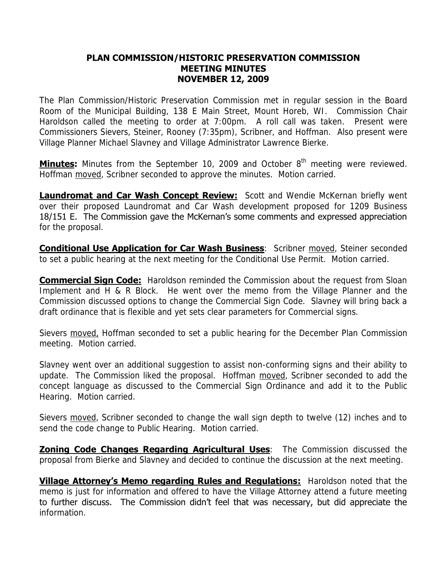#### **PLAN COMMISSION/HISTORIC PRESERVATION COMMISSION MEETING MINUTES NOVEMBER 12, 2009**

The Plan Commission/Historic Preservation Commission met in regular session in the Board Room of the Municipal Building, 138 E Main Street, Mount Horeb, WI. Commission Chair Haroldson called the meeting to order at 7:00pm. A roll call was taken. Present were Commissioners Sievers, Steiner, Rooney (7:35pm), Scribner, and Hoffman. Also present were Village Planner Michael Slavney and Village Administrator Lawrence Bierke.

**Minutes:** Minutes from the September 10, 2009 and October 8<sup>th</sup> meeting were reviewed. Hoffman moved, Scribner seconded to approve the minutes. Motion carried.

**Laundromat and Car Wash Concept Review:** Scott and Wendie McKernan briefly went over their proposed Laundromat and Car Wash development proposed for 1209 Business 18/151 E. The Commission gave the McKernan's some comments and expressed appreciation for the proposal.

**Conditional Use Application for Car Wash Business:** Scribner moved, Steiner seconded to set a public hearing at the next meeting for the Conditional Use Permit. Motion carried.

**Commercial Sign Code:** Haroldson reminded the Commission about the request from Sloan Implement and H & R Block. He went over the memo from the Village Planner and the Commission discussed options to change the Commercial Sign Code. Slavney will bring back a draft ordinance that is flexible and yet sets clear parameters for Commercial signs.

Sievers moved, Hoffman seconded to set a public hearing for the December Plan Commission meeting. Motion carried.

Slavney went over an additional suggestion to assist non-conforming signs and their ability to update. The Commission liked the proposal. Hoffman moved, Scribner seconded to add the concept language as discussed to the Commercial Sign Ordinance and add it to the Public Hearing. Motion carried.

Sievers moved, Scribner seconded to change the wall sign depth to twelve (12) inches and to send the code change to Public Hearing. Motion carried.

**Zoning Code Changes Regarding Agricultural Uses:** The Commission discussed the proposal from Bierke and Slavney and decided to continue the discussion at the next meeting.

**Village Attorney's Memo regarding Rules and Regulations:** Haroldson noted that the memo is just for information and offered to have the Village Attorney attend a future meeting to further discuss. The Commission didn't feel that was necessary, but did appreciate the information.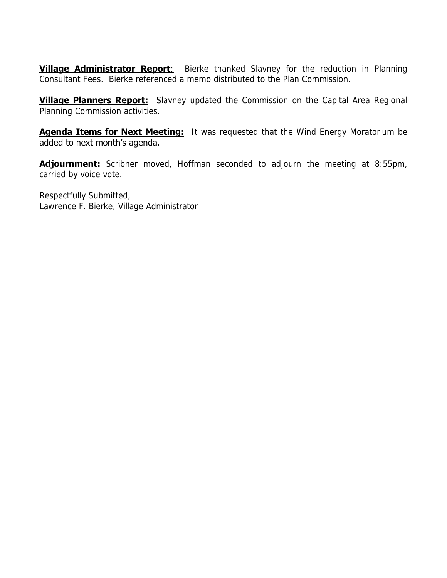**Village Administrator Report:** Bierke thanked Slavney for the reduction in Planning Consultant Fees. Bierke referenced a memo distributed to the Plan Commission.

**Village Planners Report:** Slavney updated the Commission on the Capital Area Regional Planning Commission activities.

**Agenda Items for Next Meeting:** It was requested that the Wind Energy Moratorium be added to next month's agenda.

**Adjournment:** Scribner moved, Hoffman seconded to adjourn the meeting at 8:55pm, carried by voice vote.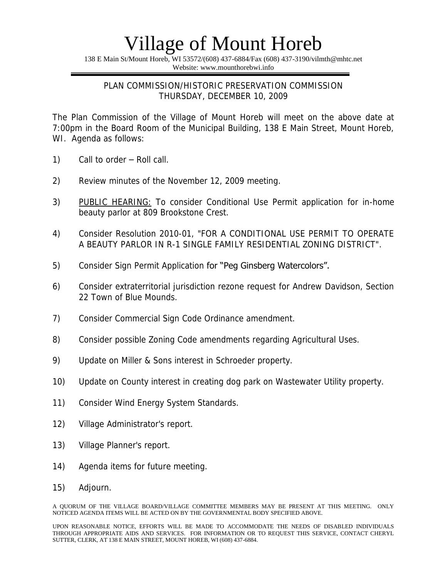138 E Main St/Mount Horeb, WI 53572/(608) 437-6884/Fax (608) 437-3190/vilmth@mhtc.net Website: www.mounthorebwi.info

### PLAN COMMISSION/HISTORIC PRESERVATION COMMISSION THURSDAY, DECEMBER 10, 2009

The Plan Commission of the Village of Mount Horeb will meet on the above date at 7:00pm in the Board Room of the Municipal Building, 138 E Main Street, Mount Horeb, WI. Agenda as follows:

- 1) Call to order Roll call.
- 2) Review minutes of the November 12, 2009 meeting.
- 3) PUBLIC HEARING: To consider Conditional Use Permit application for in-home beauty parlor at 809 Brookstone Crest.
- 4) Consider Resolution 2010-01, "FOR A CONDITIONAL USE PERMIT TO OPERATE A BEAUTY PARLOR IN R-1 SINGLE FAMILY RESIDENTIAL ZONING DISTRICT".
- 5) Consider Sign Permit Application for "Peg Ginsberg Watercolors".
- 6) Consider extraterritorial jurisdiction rezone request for Andrew Davidson, Section 22 Town of Blue Mounds.
- 7) Consider Commercial Sign Code Ordinance amendment.
- 8) Consider possible Zoning Code amendments regarding Agricultural Uses.
- 9) Update on Miller & Sons interest in Schroeder property.
- 10) Update on County interest in creating dog park on Wastewater Utility property.
- 11) Consider Wind Energy System Standards.
- 12) Village Administrator's report.
- 13) Village Planner's report.
- 14) Agenda items for future meeting.
- 15) Adjourn.

A QUORUM OF THE VILLAGE BOARD/VILLAGE COMMITTEE MEMBERS MAY BE PRESENT AT THIS MEETING. ONLY NOTICED AGENDA ITEMS WILL BE ACTED ON BY THE GOVERNMENTAL BODY SPECIFIED ABOVE.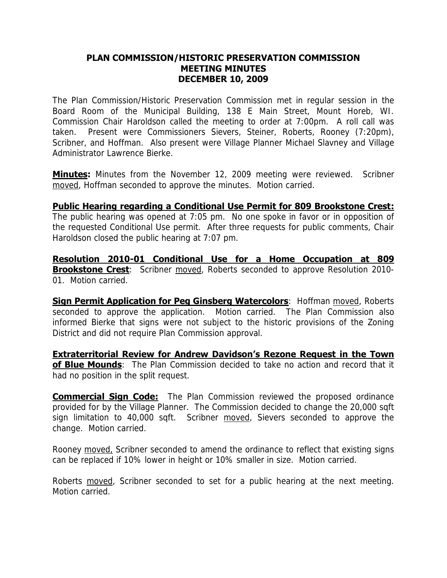#### **PLAN COMMISSION/HISTORIC PRESERVATION COMMISSION MEETING MINUTES DECEMBER 10, 2009**

The Plan Commission/Historic Preservation Commission met in regular session in the Board Room of the Municipal Building, 138 E Main Street, Mount Horeb, WI. Commission Chair Haroldson called the meeting to order at 7:00pm. A roll call was taken. Present were Commissioners Sievers, Steiner, Roberts, Rooney (7:20pm), Scribner, and Hoffman. Also present were Village Planner Michael Slavney and Village Administrator Lawrence Bierke.

**Minutes:** Minutes from the November 12, 2009 meeting were reviewed. Scribner moved, Hoffman seconded to approve the minutes. Motion carried.

### **Public Hearing regarding a Conditional Use Permit for 809 Brookstone Crest:**

The public hearing was opened at 7:05 pm. No one spoke in favor or in opposition of the requested Conditional Use permit. After three requests for public comments, Chair Haroldson closed the public hearing at 7:07 pm.

**Resolution 2010-01 Conditional Use for a Home Occupation at 809 Brookstone Crest**: Scribner moved, Roberts seconded to approve Resolution 2010-01. Motion carried.

**Sign Permit Application for Peg Ginsberg Watercolors: Hoffman moved, Roberts** seconded to approve the application. Motion carried. The Plan Commission also informed Bierke that signs were not subject to the historic provisions of the Zoning District and did not require Plan Commission approval.

**Extraterritorial Review for Andrew Davidson's Rezone Request in the Town of Blue Mounds**: The Plan Commission decided to take no action and record that it had no position in the split request.

**Commercial Sign Code:** The Plan Commission reviewed the proposed ordinance provided for by the Village Planner. The Commission decided to change the 20,000 sqft sign limitation to 40,000 sqft. Scribner moved, Sievers seconded to approve the change. Motion carried.

Rooney moved, Scribner seconded to amend the ordinance to reflect that existing signs can be replaced if 10% lower in height or 10% smaller in size. Motion carried.

Roberts moved, Scribner seconded to set for a public hearing at the next meeting. Motion carried.